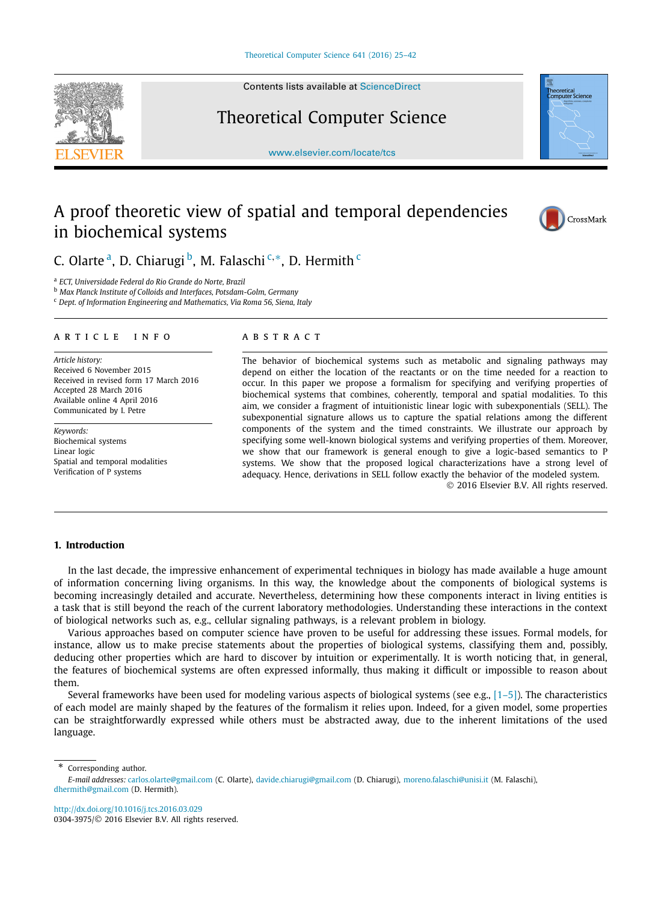Contents lists available at [ScienceDirect](http://www.ScienceDirect.com/)

# Theoretical Computer Science

[www.elsevier.com/locate/tcs](http://www.elsevier.com/locate/tcs)



# A proof theoretic view of spatial and temporal dependencies in biochemical systems



C. Olarte<sup>a</sup>, D. Chiarugi<sup>b</sup>, M. Falaschi<sup>c,∗</sup>, D. Hermith<sup>c</sup>

<sup>a</sup> *ECT, Universidade Federal do Rio Grande do Norte, Brazil*

<sup>b</sup> *Max Planck Institute of Colloids and Interfaces, Potsdam-Golm, Germany*

<sup>c</sup> *Dept. of Information Engineering and Mathematics, Via Roma 56, Siena, Italy*

# A R T I C L E I N F O A B S T R A C T

*Article history:* Received 6 November 2015 Received in revised form 17 March 2016 Accepted 28 March 2016 Available online 4 April 2016 Communicated by I. Petre

*Keywords:* Biochemical systems Linear logic Spatial and temporal modalities Verification of P systems

The behavior of biochemical systems such as metabolic and signaling pathways may depend on either the location of the reactants or on the time needed for a reaction to occur. In this paper we propose a formalism for specifying and verifying properties of biochemical systems that combines, coherently, temporal and spatial modalities. To this aim, we consider a fragment of intuitionistic linear logic with subexponentials (SELL). The subexponential signature allows us to capture the spatial relations among the different components of the system and the timed constraints. We illustrate our approach by specifying some well-known biological systems and verifying properties of them. Moreover, we show that our framework is general enough to give a logic-based semantics to P systems. We show that the proposed logical characterizations have a strong level of adequacy. Hence, derivations in SELL follow exactly the behavior of the modeled system.

© 2016 Elsevier B.V. All rights reserved.

# **1. Introduction**

In the last decade, the impressive enhancement of experimental techniques in biology has made available a huge amount of information concerning living organisms. In this way, the knowledge about the components of biological systems is becoming increasingly detailed and accurate. Nevertheless, determining how these components interact in living entities is a task that is still beyond the reach of the current laboratory methodologies. Understanding these interactions in the context of biological networks such as, e.g., cellular signaling pathways, is a relevant problem in biology.

Various approaches based on computer science have proven to be useful for addressing these issues. Formal models, for instance, allow us to make precise statements about the properties of biological systems, classifying them and, possibly, deducing other properties which are hard to discover by intuition or experimentally. It is worth noticing that, in general, the features of biochemical systems are often expressed informally, thus making it difficult or impossible to reason about them.

Several frameworks have been used for modeling various aspects of biological systems (see e.g.,  $[1-5]$ ). The characteristics of each model are mainly shaped by the features of the formalism it relies upon. Indeed, for a given model, some properties can be straightforwardly expressed while others must be abstracted away, due to the inherent limitations of the used language.

Corresponding author.

<http://dx.doi.org/10.1016/j.tcs.2016.03.029> 0304-3975/© 2016 Elsevier B.V. All rights reserved.

*E-mail addresses:* [carlos.olarte@gmail.com](mailto:carlos.olarte@gmail.com) (C. Olarte), [davide.chiarugi@gmail.com](mailto:davide.chiarugi@gmail.com) (D. Chiarugi), [moreno.falaschi@unisi.it](mailto:moreno.falaschi@unisi.it) (M. Falaschi), [dhermith@gmail.com](mailto:dhermith@gmail.com) (D. Hermith).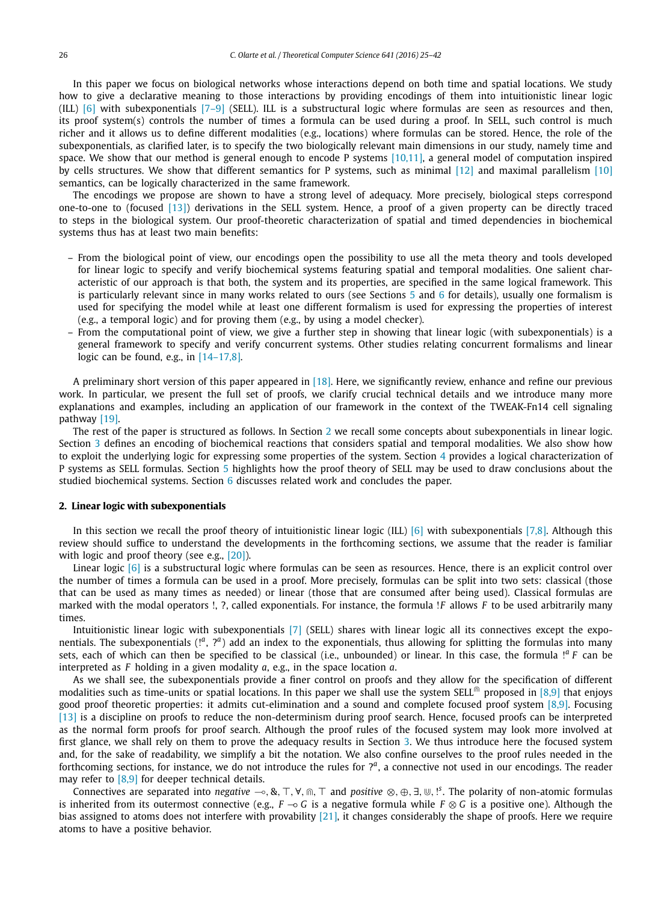In this paper we focus on biological networks whose interactions depend on both time and spatial locations. We study how to give a declarative meaning to those interactions by providing encodings of them into intuitionistic linear logic (ILL)  $[6]$  with subexponentials  $[7-9]$  (SELL). ILL is a substructural logic where formulas are seen as resources and then, its proof system(s) controls the number of times a formula can be used during a proof. In SELL, such control is much richer and it allows us to define different modalities (e.g., locations) where formulas can be stored. Hence, the role of the subexponentials, as clarified later, is to specify the two biologically relevant main dimensions in our study, namely time and space. We show that our method is general enough to encode P systems  $[10,11]$ , a general model of computation inspired by cells structures. We show that different semantics for P systems, such as minimal [\[12\]](#page-16-0) and maximal parallelism [\[10\]](#page-16-0) semantics, can be logically characterized in the same framework.

The encodings we propose are shown to have a strong level of adequacy. More precisely, biological steps correspond one-to-one to (focused [\[13\]\)](#page-16-0) derivations in the SELL system. Hence, a proof of a given property can be directly traced to steps in the biological system. Our proof-theoretic characterization of spatial and timed dependencies in biochemical systems thus has at least two main benefits:

- From the biological point of view, our encodings open the possibility to use all the meta theory and tools developed for linear logic to specify and verify biochemical systems featuring spatial and temporal modalities. One salient characteristic of our approach is that both, the system and its properties, are specified in the same logical framework. This is particularly relevant since in many works related to ours (see Sections  $5$  and  $6$  for details), usually one formalism is used for specifying the model while at least one different formalism is used for expressing the properties of interest (e.g., a temporal logic) and for proving them (e.g., by using a model checker).
- From the computational point of view, we give a further step in showing that linear logic (with subexponentials) is a general framework to specify and verify concurrent systems. Other studies relating concurrent formalisms and linear logic can be found, e.g., in  $[14-17,8]$ .

A preliminary short version of this paper appeared in [\[18\].](#page-17-0) Here, we significantly review, enhance and refine our previous work. In particular, we present the full set of proofs, we clarify crucial technical details and we introduce many more explanations and examples, including an application of our framework in the context of the TWEAK-Fn14 cell signaling pathway [\[19\].](#page-17-0)

The rest of the paper is structured as follows. In Section 2 we recall some concepts about subexponentials in linear logic. Section [3](#page-4-0) defines an encoding of biochemical reactions that considers spatial and temporal modalities. We also show how to exploit the underlying logic for expressing some properties of the system. Section [4](#page-10-0) provides a logical characterization of P systems as SELL formulas. Section [5](#page-13-0) highlights how the proof theory of SELL may be used to draw conclusions about the studied biochemical systems. Section  $6$  discusses related work and concludes the paper.

# **2. Linear logic with subexponentials**

In this section we recall the proof theory of intuitionistic linear logic (ILL) [\[6\]](#page-16-0) with subexponentials [\[7,8\].](#page-16-0) Although this review should suffice to understand the developments in the forthcoming sections, we assume that the reader is familiar with logic and proof theory (see e.g., [\[20\]\)](#page-17-0).

Linear logic  $[6]$  is a substructural logic where formulas can be seen as resources. Hence, there is an explicit control over the number of times a formula can be used in a proof. More precisely, formulas can be split into two sets: classical (those that can be used as many times as needed) or linear (those that are consumed after being used). Classical formulas are marked with the modal operators !, ?, called exponentials. For instance, the formula !*F* allows *F* to be used arbitrarily many times.

Intuitionistic linear logic with subexponentials [\[7\]](#page-16-0) (SELL) shares with linear logic all its connectives except the exponentials. The subexponentials (<sup>1*a*</sup>, ?<sup>*a*</sup>) add an index to the exponentials, thus allowing for splitting the formulas into many sets, each of which can then be specified to be classical (i.e., unbounded) or linear. In this case, the formula  $l^a F$  can be interpreted as *F* holding in a given modality *a*, e.g., in the space location *a*.

As we shall see, the subexponentials provide a finer control on proofs and they allow for the specification of different modalities such as time-units or spatial locations. In this paper we shall use the system SELL<sup>®</sup> proposed in [\[8,9\]](#page-16-0) that enjoys good proof theoretic properties: it admits cut-elimination and a sound and complete focused proof system [\[8,9\].](#page-16-0) Focusing [\[13\]](#page-16-0) is a discipline on proofs to reduce the non-determinism during proof search. Hence, focused proofs can be interpreted as the normal form proofs for proof search. Although the proof rules of the focused system may look more involved at first glance, we shall rely on them to prove the adequacy results in Section [3.](#page-4-0) We thus introduce here the focused system and, for the sake of readability, we simplify a bit the notation. We also confine ourselves to the proof rules needed in the forthcoming sections, for instance, we do not introduce the rules for ?*a*, a connective not used in our encodings. The reader may refer to [\[8,9\]](#page-16-0) for deeper technical details.

Connectives are separated into *negative* -*,*&*,,* ∀*,,* and *positive* ⊗*,* ⊕*,* ∃*,,*! *s* . The polarity of non-atomic formulas is inherited from its outermost connective (e.g.,  $F \sim G$  is a negative formula while  $F \otimes G$  is a positive one). Although the bias assigned to atoms does not interfere with provability  $[21]$ , it changes considerably the shape of proofs. Here we require atoms to have a positive behavior.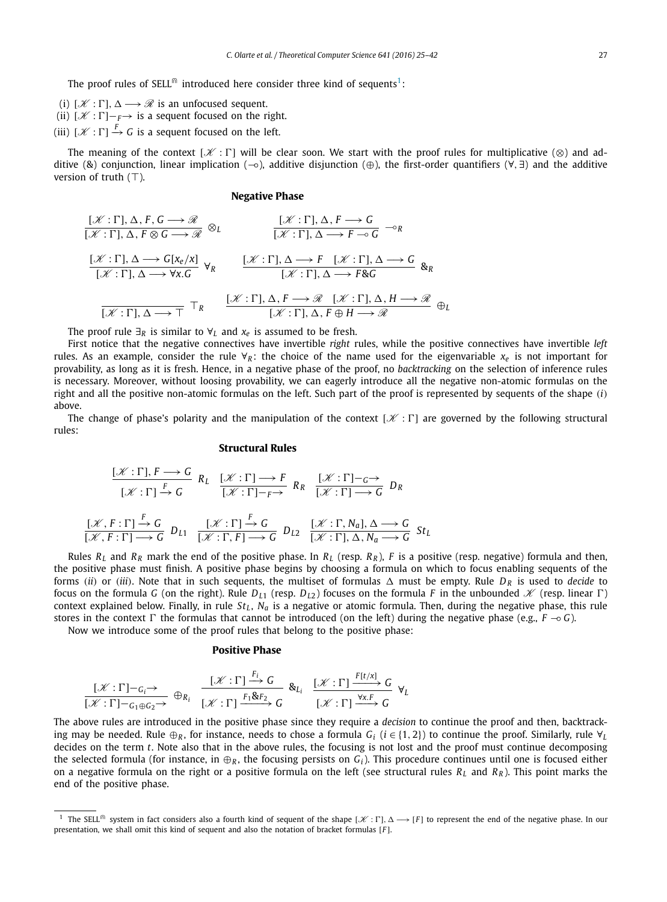The proof rules of SELL $^{\text{\textsf{m}}}$  introduced here consider three kind of sequents $^{\text{\textsf{1}}}$ :

- (i)  $[\mathscr{K}:\Gamma], \Delta \longrightarrow \mathscr{R}$  is an unfocused sequent.
- (ii)  $[\mathcal{K}:\Gamma]-_F\to$  is a sequent focused on the right.
- (iii)  $[\mathcal{K}:\Gamma] \stackrel{F}{\rightarrow} G$  is a sequent focused on the left.

The meaning of the context [ $\mathscr K:\Gamma]$  will be clear soon. We start with the proof rules for multiplicative (⊗) and additive (&) conjunction, linear implication (−◦), additive disjunction (⊕), the first-order quantifiers (∀*,* ∃) and the additive version of truth  $(\top)$ .

# **Negative Phase**

$$
\frac{[\mathcal{K}:\Gamma], \Delta, F, G \longrightarrow \mathcal{R}}{[\mathcal{K}:\Gamma], \Delta, F \otimes G \longrightarrow \mathcal{R}} \otimes_L \qquad \frac{[\mathcal{K}:\Gamma], \Delta, F \longrightarrow G}{[\mathcal{K}:\Gamma], \Delta \longrightarrow F \neg G} \neg_R
$$
\n
$$
\frac{[\mathcal{K}:\Gamma], \Delta \longrightarrow G[x_e/x]}{[\mathcal{K}:\Gamma], \Delta \longrightarrow \forall x. G} \forall_R \qquad \frac{[\mathcal{K}:\Gamma], \Delta \longrightarrow F \quad [\mathcal{K}:\Gamma], \Delta \longrightarrow G}{[\mathcal{K}:\Gamma], \Delta \longrightarrow F \& G} \&_R
$$
\n
$$
\frac{[\mathcal{K}:\Gamma], \Delta \longrightarrow T}{[\mathcal{K}:\Gamma], \Delta \longrightarrow T} \top_R \qquad \frac{[\mathcal{K}:\Gamma], \Delta, F \longrightarrow \mathcal{R} \quad [\mathcal{K}:\Gamma], \Delta, H \longrightarrow \mathcal{R}}{[\mathcal{K}:\Gamma], \Delta, F \oplus H \longrightarrow \mathcal{R}} \oplus_L
$$

The proof rule  $\exists_R$  is similar to  $\forall_L$  and  $x_e$  is assumed to be fresh.

First notice that the negative connectives have invertible *right* rules, while the positive connectives have invertible *left* rules. As an example, consider the rule ∀*<sup>R</sup>* : the choice of the name used for the eigenvariable *xe* is not important for provability, as long as it is fresh. Hence, in a negative phase of the proof, no *backtracking* on the selection of inference rules is necessary. Moreover, without loosing provability, we can eagerly introduce all the negative non-atomic formulas on the right and all the positive non-atomic formulas on the left. Such part of the proof is represented by sequents of the shape *(i)* above.

The change of phase's polarity and the manipulation of the context  $[{\mathscr K}:\Gamma]$  are governed by the following structural rules:

# **Structural Rules**

$$
\frac{[\mathcal{K}:\Gamma], F \longrightarrow G}{[\mathcal{K}:\Gamma] \longrightarrow G} R_L \xrightarrow{[\mathcal{K}:\Gamma] \longrightarrow F} R_R \xrightarrow{[\mathcal{K}:\Gamma] - G \longrightarrow G} D_R
$$

$$
\frac{[\mathcal{K}, F : \Gamma] \xrightarrow{F} G}{[\mathcal{K}, F : \Gamma] \longrightarrow G} D_{L1} \frac{[\mathcal{K} : \Gamma] \xrightarrow{F} G}{[\mathcal{K} : \Gamma, F] \longrightarrow G} D_{L2} \frac{[\mathcal{K} : \Gamma, N_a], \Delta \longrightarrow G}{[\mathcal{K} : \Gamma], \Delta, N_a \longrightarrow G} St_L
$$

Rules  $R_L$  and  $R_R$  mark the end of the positive phase. In  $R_L$  (resp.  $R_R$ ), F is a positive (resp. negative) formula and then, the positive phase must finish. A positive phase begins by choosing a formula on which to focus enabling sequents of the forms *(ii)* or *(iii)*. Note that in such sequents, the multiset of formulas  $\triangle$  must be empty. Rule  $D_R$  is used to *decide* to focus on the formula *G* (on the right). Rule  $D_{L1}$  (resp.  $D_{L2}$ ) focuses on the formula *F* in the unbounded  $\mathscr K$  (resp. linear  $\Gamma$ ) context explained below. Finally, in rule  $St_L$ ,  $N_a$  is a negative or atomic formula. Then, during the negative phase, this rule stores in the context  $\Gamma$  the formulas that cannot be introduced (on the left) during the negative phase (e.g., *F* −◦ *G*).

Now we introduce some of the proof rules that belong to the positive phase:

# **Positive Phase**

$$
\frac{[\mathcal{K}:\Gamma]-_{G_i}\to}{[\mathcal{K}:\Gamma]-_{G_1\oplus G_2}\to} \oplus_{R_i} \frac{[\mathcal{K}:\Gamma] \xrightarrow{F_i} G}{[\mathcal{K}:\Gamma] \xrightarrow{F_1 \& F_2} G} \&_{L_i} \frac{[\mathcal{K}:\Gamma] \xrightarrow{\text{F}[t/x]} G}{[\mathcal{K}:\Gamma] \xrightarrow{\text{Yx}.\mathcal{F}} G} \forall_{L}
$$

The above rules are introduced in the positive phase since they require a *decision* to continue the proof and then, backtracking may be needed. Rule ⊕<sub>*R*</sub>, for instance, needs to chose a formula  $G_i$  ( $i \in \{1, 2\}$ ) to continue the proof. Similarly, rule  $∀_L$ decides on the term *t*. Note also that in the above rules, the focusing is not lost and the proof must continue decomposing the selected formula (for instance, in ⊕*<sup>R</sup>* , the focusing persists on *Gi*). This procedure continues until one is focused either on a negative formula on the right or a positive formula on the left (see structural rules *RL* and *RR* ). This point marks the end of the positive phase.

<sup>&</sup>lt;sup>1</sup> The SELL<sup>®</sup> system in fact considers also a fourth kind of sequent of the shape  $[\mathcal{K}:\Gamma], \Delta \longrightarrow [F]$  to represent the end of the negative phase. In our presentation, we shall omit this kind of sequent and also the notation of bracket formulas [*F* ].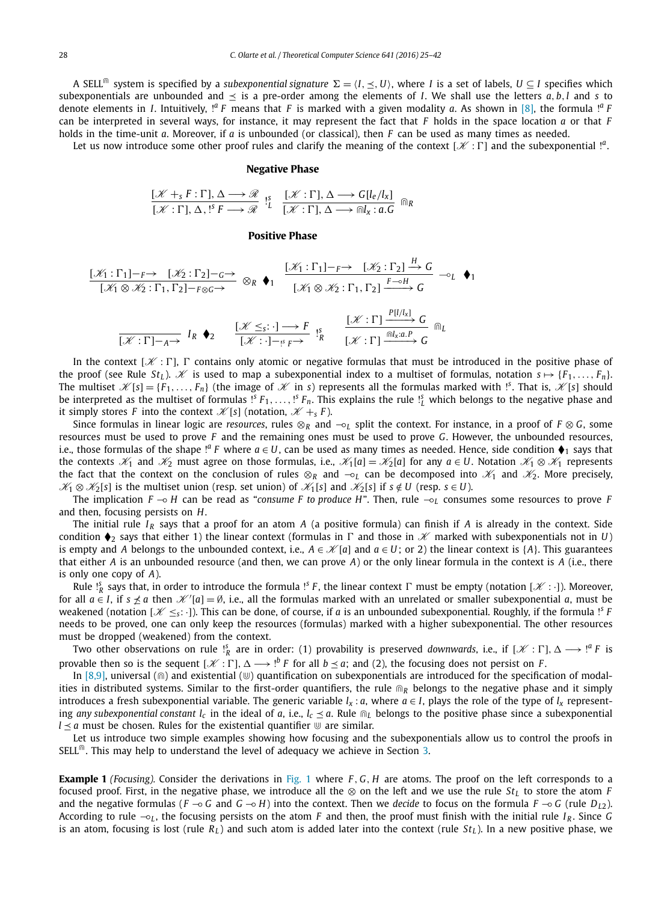<span id="page-3-0"></span>A SELL<sup>®</sup> system is specified by a *subexponential signature*  $\Sigma=(I,\preceq, U),$  where *I* is a set of labels,  $U\subseteq I$  specifies which subexponentials are unbounded and  $\leq$  is a pre-order among the elements of *I*. We shall use the letters  $a, b, l$  and  $s$  to denote elements in *I*. Intuitively,  $!^a F$  means that *F* is marked with a given modality *a*. As shown in [\[8\],](#page-16-0) the formula  $!^a F$ can be interpreted in several ways, for instance, it may represent the fact that *F* holds in the space location *a* or that *F* holds in the time-unit *a*. Moreover, if *a* is unbounded (or classical), then *F* can be used as many times as needed.

Let us now introduce some other proof rules and clarify the meaning of the context  $[\mathscr{K}:\Gamma]$  and the subexponential !<sup>a</sup>.

#### **Negative Phase**

$$
\frac{[\mathcal{K} +_{\mathsf{s}} F : \Gamma], \Delta \longrightarrow \mathcal{R}}{[\mathcal{K} : \Gamma], \Delta, !^{\mathsf{s}} F \longrightarrow \mathcal{R}} \cdot_{\mathsf{L}}^{\mathsf{s}} \frac{[\mathcal{K} : \Gamma], \Delta \longrightarrow \mathsf{G}[l_e/l_x]}{[\mathcal{K} : \Gamma], \Delta \longrightarrow \mathsf{m}l_x : a.G} \mathsf{m}_R
$$

# **Positive Phase**

$$
\frac{[\mathcal{K}_1:\Gamma_1]-_{F}\to [\mathcal{K}_2:\Gamma_2]-_{G}\to}{[\mathcal{K}_1\otimes \mathcal{K}_2:\Gamma_1,\Gamma_2]-_{F\otimes G}\to} \otimes_{R} \blacklozenge_1 \quad \frac{[\mathcal{K}_1:\Gamma_1]-_{F}\to [\mathcal{K}_2:\Gamma_2]\stackrel{H}{\longrightarrow} G}{[\mathcal{K}_1\otimes \mathcal{K}_2:\Gamma_1,\Gamma_2]\stackrel{F\to H}{\longrightarrow} G} \multimap_L \blacktriangleleft_1
$$
\n
$$
\frac{[\mathcal{K}:\Gamma]-_{A}\to}{[\mathcal{K}:\Gamma]-_{A}\to} I_R \blacklozenge_2 \quad \frac{[\mathcal{K}\leq_{S}:\cdot]\to F}{[\mathcal{K}:\cdot]-_{S}F\to} I_R^s \quad \frac{[\mathcal{K}:\Gamma]\stackrel{P[I]/_{X}]}{\longrightarrow} G}{[\mathcal{K}:\Gamma]\stackrel{f_1|_{X}d}{\longrightarrow} G} \text{ on } L
$$

In the context  $[\mathcal{K}: \Gamma]$ ,  $\Gamma$  contains only atomic or negative formulas that must be introduced in the positive phase of the proof (see Rule *St<sub>L</sub>*). *K* is used to map a subexponential index to a multiset of formulas, notation  $s \mapsto \{F_1, \ldots, F_n\}$ . The multiset  $\mathscr{K}[s] = \{F_1,\ldots,F_n\}$  (the image of  $\mathscr{K}$  in *s*) represents all the formulas marked with  $!^s$ . That is,  $\mathscr{K}[s]$  should be interpreted as the multiset of formulas  $!^sF_1,\ldots,!^sF_n$ . This explains the rule  $!^s_L$  which belongs to the negative phase and it simply stores *F* into the context  $\mathcal{K}[s]$  (notation,  $\mathcal{K} +_{s} F$ ).

Since formulas in linear logic are *resources*, rules ⊗<sub>*R*</sub> and  $\neg$ <sub>*C*</sub> split the context. For instance, in a proof of *F* ⊗ *G*, some resources must be used to prove *F* and the remaining ones must be used to prove *G*. However, the unbounded resources, i.e., those formulas of the shape !<sup>a</sup> F where  $a\in U$ , can be used as many times as needed. Hence, side condition  $\blacklozenge_1$  says that the contexts  $\mathcal{K}_1$  and  $\mathcal{K}_2$  must agree on those formulas, i.e.,  $\mathcal{K}_1[a] = \mathcal{K}_2[a]$  for any  $a \in U$ . Notation  $\mathcal{K}_1 \otimes \mathcal{K}_1$  represents the fact that the context on the conclusion of rules  $\otimes_R$  and  $\neg_L$  can be decomposed into  $\mathcal{K}_1$  and  $\mathcal{K}_2$ . More precisely, *K*<sub>1</sub> ⊗ *X*<sub>2</sub>[*s*] is the multiset union (resp. set union) of *X*<sub>1</sub>[*s*] and *X*<sub>2</sub>[*s*] if *s* ∉ *U* (resp. *s* ∈ *U*).

The implication *F* −◦ *H* can be read as "*consume F to produce H*". Then, rule −◦*<sup>L</sup>* consumes some resources to prove *F* and then, focusing persists on *H*.

The initial rule  $I_R$  says that a proof for an atom *A* (a positive formula) can finish if *A* is already in the context. Side condition  $\blacklozenge_2$  says that either 1) the linear context (formulas in  $\Gamma$  and those in  $\mathscr K$  marked with subexponentials not in U) is empty and *A* belongs to the unbounded context, i.e.,  $A \in \mathcal{K}[a]$  and  $a \in U$ ; or 2) the linear context is  $\{A\}$ . This guarantees that either *A* is an unbounded resource (and then, we can prove *A*) or the only linear formula in the context is *A* (i.e., there is only one copy of *A*).

Rule  $!_R^s$  says that, in order to introduce the formula  $!^sF$ , the linear context  $\Gamma$  must be empty (notation  $[\mathscr{K}:\cdot]$ ). Moreover, for all  $a \in I$ , if  $s \nleq a$  then  $\mathscr{K}'[a] = \emptyset$ , i.e., all the formulas marked with an unrelated or smaller subexponential a, must be weakened (notation  $[\mathcal{K} \leq_{s} : \cdot]$ ). This can be done, of course, if *a* is an unbounded subexponential. Roughly, if the formula <sup>15</sup> needs to be proved, one can only keep the resources (formulas) marked with a higher subexponential. The other resources must be dropped (weakened) from the context.

Two other observations on rule  $!_R^s$  are in order: (1) provability is preserved *downwards*, i.e., if  $[\mathcal{K} : \Gamma]$ ,  $\Delta \longrightarrow !^a F$  is provable then so is the sequent  $[\mathcal{K}:\Gamma], \Delta \longrightarrow I^b$  *F* for all  $b \preceq a$ ; and (2), the focusing does not persist on *F*.

In [\[8,9\],](#page-16-0) universal ( $\text{m}$ ) and existential ( $\text{w}$ ) quantification on subexponentials are introduced for the specification of modalities in distributed systems. Similar to the first-order quantifiers, the rule  $\mathbb{R}_R$  belongs to the negative phase and it simply introduces a fresh subexponential variable. The generic variable  $l_x : a$ , where  $a \in I$ , plays the role of the type of  $l_x$  representing *any* subexponential constant  $l_c$  in the ideal of *a*, i.e.,  $l_c \le a$ . Rule  $\mathbb{R}_L$  belongs to the positive phase since a subexponential  $l \le a$  must be chosen. Rules for the existential quantifier  $\mathbb U$  are similar.

Let us introduce two simple examples showing how focusing and the subexponentials allow us to control the proofs in SELL<sup> $\text{m}$ </sup>. This may help to understand the level of adequacy we achieve in Section [3.](#page-4-0)

**Example 1** *(Focusing).* Consider the derivations in [Fig. 1](#page-4-0) where *F , G, H* are atoms. The proof on the left corresponds to a focused proof. First, in the negative phase, we introduce all the  $\otimes$  on the left and we use the rule *St<sub>L</sub>* to store the atom *F* and the negative formulas ( $F \rightarrow G$  and  $G \rightarrow H$ ) into the context. Then we *decide* to focus on the formula  $F \rightarrow G$  (rule  $D_{L2}$ ). According to rule  $\neg$ <sub>*C*</sub>, the focusing persists on the atom *F* and then, the proof must finish with the initial rule *I<sub>R</sub>*. Since *G* is an atom, focusing is lost (rule  $R_L$ ) and such atom is added later into the context (rule  $St_L$ ). In a new positive phase, we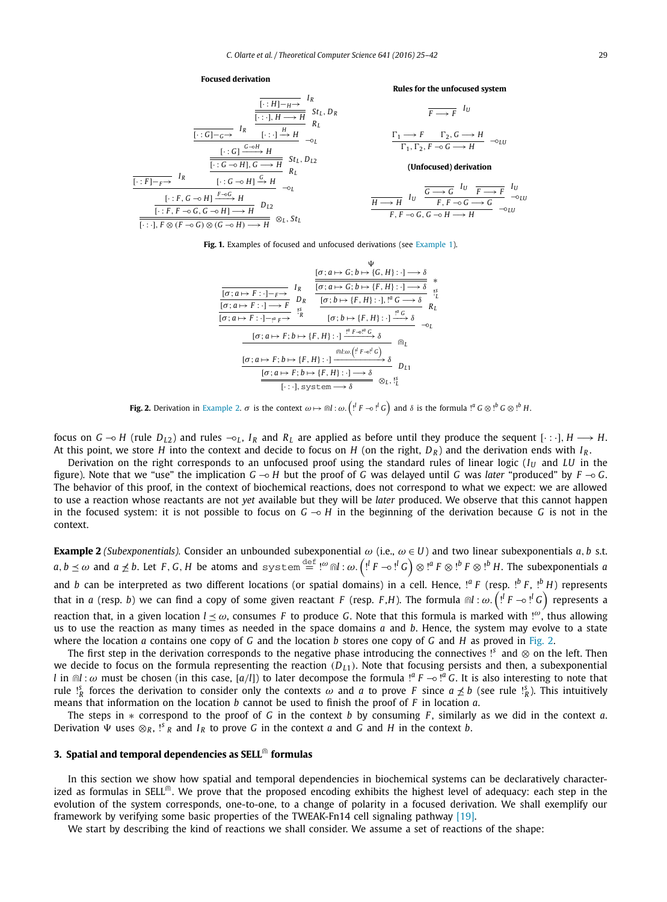#### **Focused derivation**

**Rules for the unfocused system**

<span id="page-4-0"></span>
$$
\frac{\frac{\overline{[f:H]\rightarrow\rightarrow\rightarrow} I_R}{[f:\cdot],H\rightarrow\rightarrow H} S_{t_L,D_R}}{\frac{\overline{[f:\cdot G]\rightarrow G\rightarrow} I_R}{[f:\cdot G]\rightarrow H} I_{t_L}}{R_L} \qquad \frac{\frac{\overline{[f:\cdot G]\rightarrow G\rightarrow} I_R}{[f:\cdot G]\rightarrow H} S_{t_L,D_R}}{\frac{\overline{[f:\cdot G\rightarrow H],G\rightarrow H}}{R_L} S_{t_L,D_L}} \qquad \frac{\Gamma_1\rightarrow F \quad \Gamma_2, G\rightarrow H}{\Gamma_1, \Gamma_2, F\rightarrow G\rightarrow H} \rightarrow_{U} \frac{\Gamma_1\rightarrow F \quad \Gamma_2, G\rightarrow H}{\Gamma_1, \Gamma_2, F\rightarrow G\rightarrow H} \rightarrow_{U} \frac{\Gamma_1\rightarrow F \quad \Gamma_2, G\rightarrow H}{\Gamma_1, \Gamma_2, F\rightarrow G\rightarrow H} S_{t_L,D_L} \qquad \frac{\Gamma_1\rightarrow F \quad \Gamma_2, G\rightarrow H}{\Gamma_1, \Gamma_2, F\rightarrow G\rightarrow H} \rightarrow_{U} \frac{\Gamma_2\rightarrow G \rightarrow H}{\Gamma_2, \Gamma_2, F\rightarrow G\rightarrow H} S_{t_L,D_R} \rightarrow_{U} \frac{\Gamma_2\rightarrow G \quad \Gamma_2, G\rightarrow H}{\Gamma_2, \Gamma_2, F\rightarrow G\rightarrow H} S_{t_L,D_R} \qquad \frac{\Gamma_2\rightarrow G \quad \Gamma_2, G\rightarrow H}{\Gamma_2, \Gamma_2, F\rightarrow G\rightarrow H} S_{t_L,D_R} \rightarrow_{U} \frac{\Gamma_2\rightarrow G \quad \Gamma_2, G\rightarrow H}{\Gamma_2, \Gamma_2, F\rightarrow G\rightarrow H} S_{t_L,D_R} \qquad \frac{\Gamma_2, G\rightarrow H}{\Gamma_2, \Gamma_2, F\rightarrow G\rightarrow H} \rightarrow_{U} \frac{\Gamma_2, G\rightarrow H}{\Gamma_2, \Gamma_2, F\rightarrow G\rightarrow H} S_{t_L,D_R} \rightarrow_{U} \frac{\Gamma_2, G\rightarrow H}{\Gamma_2, \Gamma_2, F\rightarrow G\rightarrow H} S_{t_L,D_R} \rightarrow_{U} \frac{\Gamma_2, G\rightarrow H}{\Gamma_2, \Gamma_2, F\rightarrow G\rightarrow H} S_{t_L,D_R} \rightarrow_{U} \frac{\Gamma_2, G\rightarrow H}{\Gamma_2, \Gamma_2, F\rightarrow G\rightarrow H} S_{t_L,D_R} \rightarrow_{U} \frac{\Gamma_2, G\rightarrow H}{\Gamma_2, \Gamma_2, F\rightarrow G\rightarrow H} S
$$

Fig. 1. Examples of focused and unfocused derivations (see [Example 1\)](#page-3-0).

$$
\frac{[\sigma; a \mapsto G; b \mapsto \{G, H\} : \cdot] \rightarrow \delta}{[\sigma; a \mapsto F : \cdot] \rightarrow F} \xrightarrow{I_R} \frac{\frac{[\sigma; a \mapsto G; b \mapsto \{F, H\} : \cdot] \rightarrow \delta}{[\sigma; b \mapsto \{F, H\} : \cdot] \rightarrow \delta} *_{I_L^s} \frac{[\sigma; a \mapsto F : \cdot] \rightarrow F}{[\sigma; b \mapsto \{F, H\} : \cdot], \cdot]^a G \rightarrow \delta} \times \frac{[\sigma; b \mapsto \{F, H\} : \cdot] \xrightarrow{a G} \delta}{\sigma_L}
$$
\n
$$
[\sigma; a \mapsto F; b \mapsto \{F, H\} : \cdot] \xrightarrow{I^a F \rightarrow B^a G} \delta \rightarrow 0
$$
\n
$$
\frac{[\sigma; a \mapsto F; b \mapsto \{F, H\} : \cdot] \xrightarrow{I^a F \rightarrow B^a G}}{\frac{[\sigma; a \mapsto F; b \mapsto \{F, H\} : \cdot] \xrightarrow{A \mapsto B} \delta} D_{L1}
$$
\n
$$
\frac{[\sigma; a \mapsto F; b \mapsto \{F, H\} : \cdot] \xrightarrow{A} \delta}{[\cdot : \cdot], \text{system} \rightarrow \delta} D_{L1}
$$

**Fig. 2.** Derivation in Example 2.  $\sigma$  is the context  $\omega \mapsto \text{m}l:\omega$ .  $\left( \frac{l^l}{r} - \circ \frac{l^l}{r} \right)$  and  $\delta$  is the formula  $\frac{l^a}{r} G \otimes \frac{l^b}{r} G \otimes \frac{l^b}{r} H$ .

focus on *G* −◦ *H* (rule *D<sub>L2</sub>*) and rules − $o_L$ , *I<sub>R</sub>* and *R<sub>L</sub>* are applied as before until they produce the sequent [· : ·], *H* → *H*. At this point, we store *H* into the context and decide to focus on *H* (on the right,  $D_R$ ) and the derivation ends with  $I_R$ .

Derivation on the right corresponds to an unfocused proof using the standard rules of linear logic (*IU* and *LU* in the figure). Note that we "use" the implication *G* −◦ *H* but the proof of *G* was delayed until *G* was *later* "produced" by *F* −◦ *G*. The behavior of this proof, in the context of biochemical reactions, does not correspond to what we expect: we are allowed to use a reaction whose reactants are not *yet* available but they will be *later* produced. We observe that this cannot happen in the focused system: it is not possible to focus on *G* −◦ *H* in the beginning of the derivation because *G* is not in the context.

**Example 2** *(Subexponentials).* Consider an unbounded subexponential  $\omega$  (i.e.,  $\omega \in U$ ) and two linear subexponentials *a*, *b* s.t.  $a,b\preceq\omega$  and  $a\not\preceq b.$  Let F, G, H be atoms and system  $\stackrel{\text{def}}{=}$  ! $^\omega$  ml :  $\omega.\left( \!\! \begin{array}{l} !\!f\!\!-\!\!\varphi\! \end{array} \!\! \right|^{l}$   $\!F$   $\otimes$  ! $^b$   $\!F$   $\otimes$  ! $^b$   $\!F$   $\otimes$  ! $^b$  H. The subexponentials  $a$ and *b* can be interpreted as two different locations (or spatial domains) in a cell. Hence, !<sup>a</sup> *F* (resp. !<sup>b</sup> *F*, !<sup>b</sup> *H*) represents that in  $a$  (resp.  $b$ ) we can find a copy of some given reactant  $F$  (resp.  $F,H$ ). The formula  $\Cap{l}:\omega.\left({}^tF\multimap {l}^lG\right)$  represents a reaction that, in a given location *l ω*, consumes *F* to produce *G*. Note that this formula is marked with ! *<sup>ω</sup>*, thus allowing us to use the reaction as many times as needed in the space domains *a* and *b*. Hence, the system may evolve to a state where the location *a* contains one copy of *G* and the location *b* stores one copy of *G* and *H* as proved in Fig. 2.

The first step in the derivation corresponds to the negative phase introducing the connectives ! *<sup>s</sup>* and ⊗ on the left. Then we decide to focus on the formula representing the reaction  $(D_{L1})$ . Note that focusing persists and then, a subexponential *l* in  $\cap l$  :  $\omega$  must be chosen (in this case, [a/l]) to later decompose the formula !<sup>a</sup> *F*  $\sim$  !<sup>a</sup> G. It is also interesting to note that rule  $\frac{15}{R}$  forces the derivation to consider only the contexts  $\omega$  and  $a$  to prove  $F$  since  $a \nleq b$  (see rule  $\frac{15}{R}$ ). This intuitively means that information on the location *b* cannot be used to finish the proof of *F* in location *a*.

The steps in ∗ correspond to the proof of *G* in the context *b* by consuming *F* , similarly as we did in the context *a*. Derivation  $\Psi$  uses  $\otimes_R$ , <sup>1s</sup> <sub>R</sub> and  $I_R$  to prove *G* in the context *a* and *G* and *H* in the context *b*.

# **3. Spatial and temporal dependencies as SELL**- **formulas**

In this section we show how spatial and temporal dependencies in biochemical systems can be declaratively characterized as formulas in SELL<sup>®</sup>. We prove that the proposed encoding exhibits the highest level of adequacy: each step in the evolution of the system corresponds, one-to-one, to a change of polarity in a focused derivation. We shall exemplify our framework by verifying some basic properties of the TWEAK-Fn14 cell signaling pathway [\[19\].](#page-17-0)

We start by describing the kind of reactions we shall consider. We assume a set of reactions of the shape: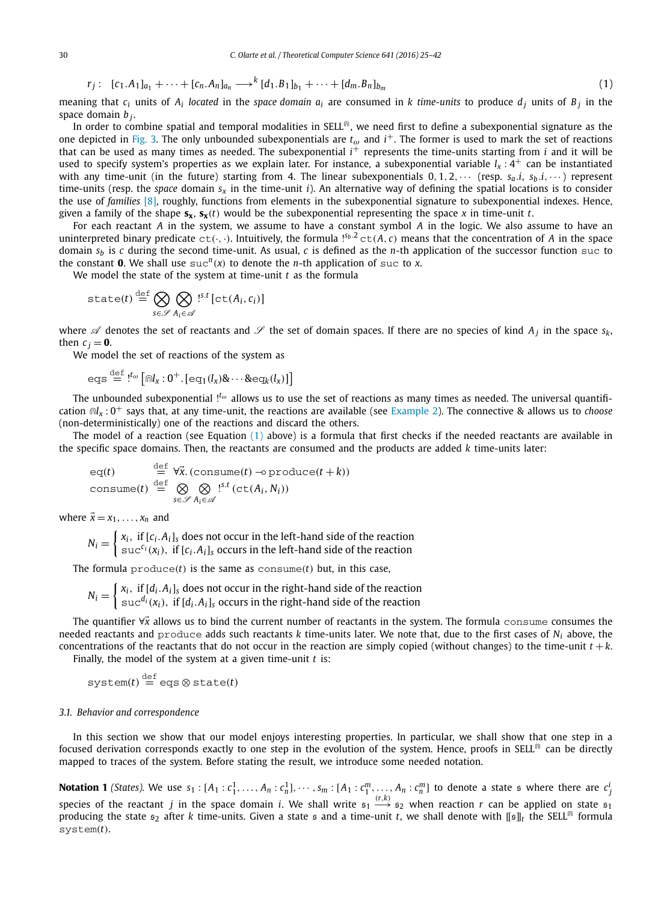$$
r_j: [c_1.A_1]_{a_1} + \cdots + [c_n.A_n]_{a_n} \longrightarrow^k [d_1.B_1]_{b_1} + \cdots + [d_m.B_n]_{b_m}
$$
\n(1)

meaning that  $c_i$  units of  $A_i$  *located* in the *space domain*  $a_i$  are consumed in *k* time-units to produce  $d_j$  units of  $B_j$  in the space domain *b <sup>j</sup>* .

In order to combine spatial and temporal modalities in SELL<sup>@</sup>, we need first to define a subexponential signature as the one depicted in [Fig. 3.](#page-6-0) The only unbounded subexponentials are *tω* and *i* <sup>+</sup>. The former is used to mark the set of reactions that can be used as many times as needed. The subexponential *i* <sup>+</sup> represents the time-units starting from *i* and it will be used to specify system's properties as we explain later. For instance, a subexponential variable  $l_x:4^+$  can be instantiated with any time-unit (in the future) starting from 4. The linear subexponentials  $0, 1, 2, \cdots$  (resp.  $s_a$ *.i*,  $s_b$ *.i*,  $\cdots$ ) represent time-units (resp. the *space* domain  $s_x$  in the time-unit *i*). An alternative way of defining the spatial locations is to consider the use of *families* [\[8\],](#page-16-0) roughly, functions from elements in the subexponential signature to subexponential indexes. Hence, given a family of the shape  $s_x$ ,  $s_x(t)$  would be the subexponential representing the space *x* in time-unit *t*.

For each reactant *A* in the system, we assume to have a constant symbol *A* in the logic. We also assume to have an uninterpreted binary predicate  $ct(\cdot, \cdot)$ . Intuitively, the formula  $!^{5b,2}ct(A, c)$  means that the concentration of *A* in the space domain *sb* is *c* during the second time-unit. As usual, *c* is defined as the *n*-th application of the successor function suc to the constant **0**. We shall use  $\text{succ}^n(x)$  to denote the *n*-th application of suc to *x*.

We model the state of the system at time-unit *t* as the formula

state(t) 
$$
\stackrel{\text{def}}{=} \bigotimes_{s \in \mathscr{S}} \bigotimes_{A_i \in \mathscr{A}} I^{s.t} [\text{ct}(A_i, c_i)]
$$

where  $\mathscr A$  denotes the set of reactants and  $\mathscr A$  the set of domain spaces. If there are no species of kind  $A_i$  in the space  $s_k$ , then  $c_i = 0$ .

We model the set of reactions of the system as

$$
egs \stackrel{\text{def}}{=} \, !^{t_{\omega}} \left[ \text{m} l_x : 0^+ \ldotp [eq_1(l_x) \& \cdots \& eq_k(l_x)] \right]
$$

The unbounded subexponential ! *<sup>t</sup><sup>ω</sup>* allows us to use the set of reactions as many times as needed. The universal quantification  $\frac{m}{x}$ :  $0^+$  says that, at any time-unit, the reactions are available (see [Example 2\)](#page-4-0). The connective & allows us to *choose* (non-deterministically) one of the reactions and discard the others.

The model of a reaction (see Equation  $(1)$  above) is a formula that first checks if the needed reactants are available in the specific space domains. Then, the reactants are consumed and the products are added *k* time-units later:

eq(t) 
$$
\stackrel{\text{def}}{=} \forall \vec{x} \text{ (consumet)} - \text{produce}(t+k))
$$
  
consumet(t)  $\stackrel{\text{def}}{=} \bigotimes_{s \in \mathcal{S}} \bigotimes_{A_i \in \mathcal{A}} s^{\text{f.f}} (\text{ct}(A_i, N_i))$ 

where  $\vec{x} = x_1, \ldots, x_n$  and

 $N_i = \begin{cases} x_i, & \text{if } [c_i, A_i]_s \text{ does not occur in the left-hand side of the reaction } \\ \cos^{-1}(x_i) & \text{if } [c_i, A_i]_s \text{ occurs in the left, and side of the reaction } \end{cases}$  $\text{succ}^{c_i}(x_i)$ , if  $[c_i.A_i]_s$  occurs in the left-hand side of the reaction

The formula  $\text{produce}(t)$  is the same as  $\text{conc}(t)$  but, in this case,

 $N_i = \begin{cases} x_i, & \text{if } [d_i, A_i]_s \text{ does not occur in the right-hand side of the reaction } \\ \cos \theta_i(x_i) & \text{if } [d_i, A_i]_s \text{ occurs in the right, and side of the reaction } \end{cases}$ suc*di(xi),* if [*di.Ai*]*<sup>s</sup>* occurs in the right-hand side of the reaction

The quantifier ∀*x* allows us to bind the current number of reactants in the system. The formula consume consumes the needed reactants and produce adds such reactants *k* time-units later. We note that, due to the first cases of *Ni* above, the concentrations of the reactants that do not occur in the reaction are simply copied (without changes) to the time-unit  $t + k$ . Finally, the model of the system at a given time-unit *t* is:

 $system(t) \stackrel{\text{def}}{=} eqs \otimes state(t)$ 

#### *3.1. Behavior and correspondence*

In this section we show that our model enjoys interesting properties. In particular, we shall show that one step in a focused derivation corresponds exactly to one step in the evolution of the system. Hence, proofs in SELL<sup>®</sup> can be directly mapped to traces of the system. Before stating the result, we introduce some needed notation.

**Notation 1** (States). We use  $s_1$  : [ $A_1$  :  $c_1^1$ , ...,  $A_n$  :  $c_n^1$ ],  $\cdots$  ,  $s_m$  : [ $A_1$  :  $c_1^m$ , ...,  $A_n$  :  $c_n^m$ ] to denote a state  $\mathfrak s$  where there are  $c_j^i$ species of the reactant *j* in the space domain *i*. We shall write  $s_1 \stackrel{(r,k)}{\longrightarrow} s_2$  when reaction *r* can be applied on state  $s_1$ producing the state  $s_2$  after *k* time-units. Given a state  $s$  and a time-unit *t*, we shall denote with [[s]]<sub>t</sub> the SELL<sup>®</sup> formula system*(t)*.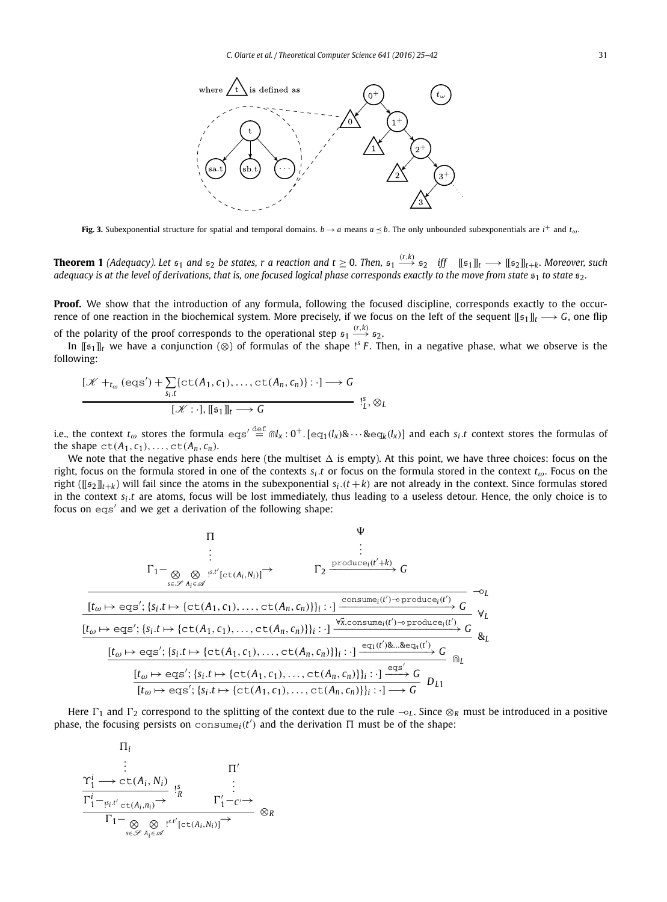<span id="page-6-0"></span>

**Fig. 3.** Subexponential structure for spatial and temporal domains.  $b\to a$  means  $a\preceq b$ . The only unbounded subexponentials are *i*<sup>+</sup> and  $t_{\omega}$ .

**Theorem 1** (Adequacy). Let  $s_1$  and  $s_2$  be states, r a reaction and  $t \ge 0$ . Then,  $s_1 \stackrel{(r,k)}{\longrightarrow} s_2$  iff  $\[ [s_1]]_t \longrightarrow [ [s_2]]_{t+k}.$  Moreover, such adequacy is at the level of derivations, that is, one focused logical phase corresponds exactly to the move from state  $\frac{1}{2}$  to state  $\frac{1}{2}$ .

**Proof.** We show that the introduction of any formula, following the focused discipline, corresponds exactly to the occurrence of one reaction in the biochemical system. More precisely, if we focus on the left of the sequent  $[\![s_1]\!]_t \longrightarrow G$ , one flip of the polarity of the proof corresponds to the operational step  $\mathfrak{s}_1 \stackrel{(r,k)}{\longrightarrow} \mathfrak{s}_2$ .

In [[s1]]*<sup>t</sup>* we have a conjunction (⊗) of formulas of the shape ! *<sup>s</sup> F* . Then, in a negative phase, what we observe is the following:

$$
\frac{[\mathcal{K} +_{t_{\omega}}(eqs') + \sum_{s_i,t} \{ct(A_1, c_1), \dots, ct(A_n, c_n)\} : \cdot] \longrightarrow G}{[\mathcal{K} : \cdot], [\![s_1]\!]_t \longrightarrow G} \quad \stackrel{\text{!s}}{=} \quad \stackrel{\text{s}}{=} \quad \stackrel{\text{s}}{=} \quad \stackrel{\text{s}}{=} \quad \stackrel{\text{s}}{=} \quad \stackrel{\text{s}}{=} \quad \stackrel{\text{s}}{=} \quad \stackrel{\text{s}}{=} \quad \stackrel{\text{s}}{=} \quad \stackrel{\text{s}}{=} \quad \stackrel{\text{s}}{=} \quad \stackrel{\text{s}}{=} \quad \stackrel{\text{s}}{=} \quad \stackrel{\text{s}}{=} \quad \stackrel{\text{s}}{=} \quad \stackrel{\text{s}}{=} \quad \stackrel{\text{s}}{=} \quad \stackrel{\text{s}}{=} \quad \stackrel{\text{s}}{=} \quad \stackrel{\text{s}}{=} \quad \stackrel{\text{s}}{=} \quad \stackrel{\text{s}}{=} \quad \stackrel{\text{s}}{=} \quad \stackrel{\text{s}}{=} \quad \stackrel{\text{s}}{=} \quad \stackrel{\text{s}}{=} \quad \stackrel{\text{s}}{=} \quad \stackrel{\text{s}}{=} \quad \stackrel{\text{s}}{=} \quad \stackrel{\text{s}}{=} \quad \stackrel{\text{s}}{=} \quad \stackrel{\text{s}}{=} \quad \stackrel{\text{s}}{=} \quad \stackrel{\text{s}}{=} \quad \stackrel{\text{s}}{=} \quad \stackrel{\text{s}}{=} \quad \stackrel{\text{s}}{=} \quad \stackrel{\text{s}}{=} \quad \stackrel{\text{s}}{=} \quad \stackrel{\text{s}}{=} \quad \stackrel{\text{s}}{=} \quad \stackrel{\text{s}}{=} \quad \stackrel{\text{s}}{=} \quad \stackrel{\text{s}}{=} \quad \stackrel{\text{s}}{=} \quad \stackrel{\text{s}}{=} \quad \stackrel{\text{s}}{=} \quad \stackrel{\text{s}}{=} \quad \stackrel{\text{s}}{=} \quad \stackrel{\text{s}}{=} \quad \stackrel{\text{s}}{=} \quad \stackrel{\text{s}}{=} \quad \stackrel{\text{s}}{=} \quad \stackrel{\text{s}}{=} \quad \stackrel{\text{s}}{=} \quad \stackrel{\text{s}}{=} \quad \stackrel{\text{s}}{=} \quad \stackrel{\text{s}}{=} \quad \stackrel{\text{s}}{=} \quad \stackrel{\text{s}}{=} \quad \stackrel{\text{s}}{=} \quad \stackrel{\
$$

i.e., the context  $t_\omega$  stores the formula  $\text{eqs}' \stackrel{\text{def}}{=} \text{ell}_x : 0^+.[\text{eq}_1(l_x)\&\cdots\&\text{eq}_k(l_x)]$  and each  $s_i.t$  context stores the formulas of the shape  $ct(A_1, c_1), \ldots, ct(A_n, c_n)$ .

We note that the negative phase ends here (the multiset  $\Delta$  is empty). At this point, we have three choices: focus on the right, focus on the formula stored in one of the contexts *si.t* or focus on the formula stored in the context *tω*. Focus on the right ( $[\![s_2]\!]_{t+k}$ ) will fail since the atoms in the subexponential  $s_i(t+k)$  are not already in the context. Since formulas stored in the context *si.t* are atoms, focus will be lost immediately, thus leading to a useless detour. Hence, the only choice is to focus on  $egs'$  and we get a derivation of the following shape:

 *. . . -*<sup>1</sup><sup>−</sup> *s*∈S *Ai*∈A ! *s.t* [ct*(Ai,Ni)*] → *. . . -*2 produce*i(t* <sup>+</sup>*k)* −−−−−−−−−−→ *<sup>G</sup>* [*t<sup>ω</sup>* → eqs ;{*si.<sup>t</sup>* → {ct*(A*1*, <sup>c</sup>*1*),...,*ct*(An, cn)*}}*<sup>i</sup>* : ·] consume*i(t )*−◦ produce*i(t )* −−−−−−−−−−−−−−−−−−→ *<sup>G</sup>* −◦*<sup>L</sup>* [*t<sup>ω</sup>* → eqs ;{*si.t* → {ct*(A*1*, c*1*),...,*ct*(An, cn)*}}*<sup>i</sup>* : ·] ∀*x.*consume*i(t )*−◦ produce*i(t )* −−−−−−−−−−−−−−−−−−−→ *<sup>G</sup>* ∀*L* [*t<sup>ω</sup>* → eqs ;{*si.<sup>t</sup>* → {ct*(A*1*, <sup>c</sup>*1*),...,*ct*(An, cn)*}}*<sup>i</sup>* : ·] eq1*(t )*&*...*&eq*n(t )* −−−−−−−−−−−→ *<sup>G</sup>* &*L* [*t<sup>ω</sup>* → eqs ;{*si.<sup>t</sup>* → {ct*(A*1*, <sup>c</sup>*1*),...,*ct*(An, cn)*}}*<sup>i</sup>* : ·] eqs −−−→ *G <sup>L</sup>* [*t<sup>ω</sup>* → eqs ;{*si.t* → {ct*(A*1*, c*1*),...,*ct*(An, cn)*}}*<sup>i</sup>* : ·] −→ *G DL*<sup>1</sup>

Here  $\Gamma_1$  and  $\Gamma_2$  correspond to the splitting of the context due to the rule  $\neg_L$ . Since ⊗*R* must be introduced in a positive phase, the focusing persists on  $\text{cosume}_i(t')$  and the derivation  $\Pi$  must be of the shape:

$$
\begin{array}{ccc}\n\Pi_i & & \Pi'_i \\
\vdots & & \Pi'_i \\
\frac{\Upsilon_1^i \longrightarrow \text{ct}(A_i, N_i)}{\Gamma_1^i - \text{st}(A_i, n_i)} & & \text{t}_R^i & \text{t}_I^i - \text{t}_I^i \longrightarrow \\
\frac{\Upsilon_1^i - \text{st}(A_i, n_i)}{\Gamma_1^i - \bigotimes_{s \in \mathcal{S}^i A_i \in \mathcal{A}_i} \text{st}' \left[\text{ct}(A_i, N_i)\right] \longrightarrow} \otimes_R\n\end{array}
$$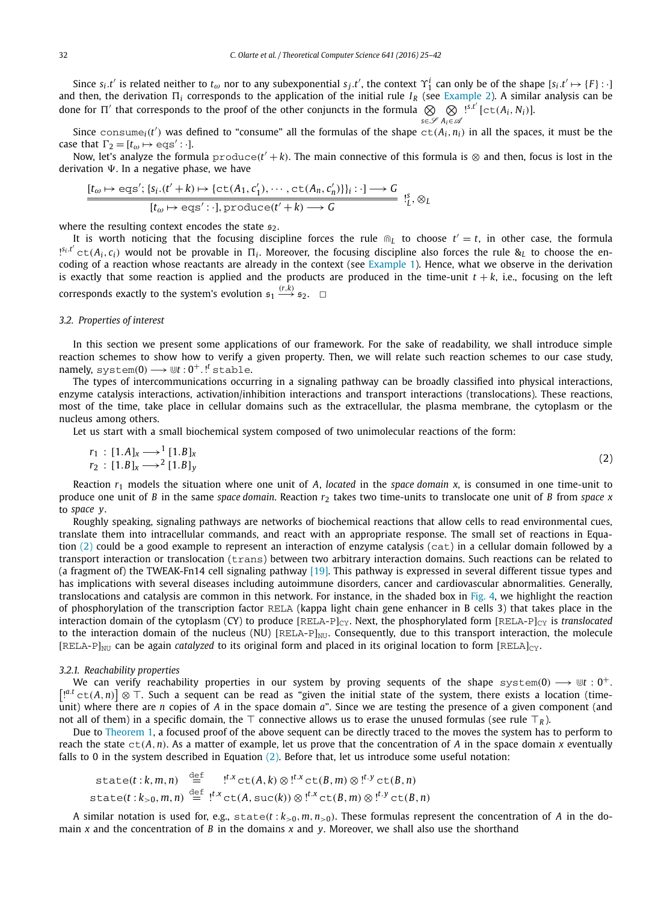<span id="page-7-0"></span>Since  $s_i \cdot t'$  is related neither to  $t_\omega$  nor to any subexponential  $s_j \cdot t'$ , the context  $\Upsilon_1^i$  can only be of the shape  $[s_i \cdot t' \mapsto \{F\} : \cdot]$ and then, the derivation  $\Pi_i$  corresponds to the application of the initial rule  $I_R$  (see [Example 2\)](#page-4-0). A similar analysis can be done for  $\Pi'$  that corresponds to the proof of the other conjuncts in the formula  $\otimes$ *s*∈S ⊗ *Ai*∈A  $!^{s.t'}$  [ct( $A_i, N_i$ )].

Since consume<sub>*i*</sub>(*t'*) was defined to "consume" all the formulas of the shape  $ct(A_i, n_i)$  in all the spaces, it must be the case that  $\Gamma_2 = [t_\omega \mapsto \text{egs}' : \cdot].$ 

Now, let's analyze the formula  $\text{produce}(t' + k)$ . The main connective of this formula is  $\otimes$  and then, focus is lost in the derivation  $\Psi$ . In a negative phase, we have

$$
\frac{[t_{\omega} \mapsto \text{egs}'; \{s_i.(t'+k) \mapsto \{\text{ct}(A_1, c'_1), \cdots, \text{ct}(A_n, c'_n)\}\}_i : \cdot] \longrightarrow G}{[t_{\omega} \mapsto \text{egs}' : \cdot], \text{produce}(t'+k) \longrightarrow G} \quad !_L^s, \otimes_L
$$

where the resulting context encodes the state  $\mathfrak{s}_2$ .

It is worth noticing that the focusing discipline forces the rule  $\mathbb{R}_L$  to choose  $t' = t$ , in other case, the formula  $e^{iS_i t'}$   $ct(A_i, c_i)$  would not be provable in  $\Pi_i$ . Moreover, the focusing discipline also forces the rule  $\ι$  to choose the encoding of a reaction whose reactants are already in the context (see [Example 1\)](#page-3-0). Hence, what we observe in the derivation is exactly that some reaction is applied and the products are produced in the time-unit  $t + k$ , i.e., focusing on the left corresponds exactly to the system's evolution  $\mathfrak{s}_1 \stackrel{(r,k)}{\longrightarrow} \mathfrak{s}_2$ .  $\Box$ 

# *3.2. Properties of interest*

In this section we present some applications of our framework. For the sake of readability, we shall introduce simple reaction schemes to show how to verify a given property. Then, we will relate such reaction schemes to our case study,  ${\sf namely, system}(0) \longrightarrow \mathbb{U} t: 0^+.!^t\text{ stable}.$ 

The types of intercommunications occurring in a signaling pathway can be broadly classified into physical interactions, enzyme catalysis interactions, activation/inhibition interactions and transport interactions (translocations). These reactions, most of the time, take place in cellular domains such as the extracellular, the plasma membrane, the cytoplasm or the nucleus among others.

Let us start with a small biochemical system composed of two unimolecular reactions of the form:

$$
r_1: [1.A]_x \longrightarrow^1 [1.B]_x
$$
  
\n
$$
r_2: [1.B]_x \longrightarrow^2 [1.B]_y
$$
\n
$$
(2)
$$

Reaction  $r_1$  models the situation where one unit of A, located in the *space domain x*, is consumed in one time-unit to produce one unit of *B* in the same *space domain*. Reaction *r*<sup>2</sup> takes two time-units to translocate one unit of *B* from *space x* to *space y*.

Roughly speaking, signaling pathways are networks of biochemical reactions that allow cells to read environmental cues, translate them into intracellular commands, and react with an appropriate response. The small set of reactions in Equation (2) could be a good example to represent an interaction of enzyme catalysis (cat) in a cellular domain followed by a transport interaction or translocation (trans) between two arbitrary interaction domains. Such reactions can be related to (a fragment of) the TWEAK-Fn14 cell signaling pathway [\[19\].](#page-17-0) This pathway is expressed in several different tissue types and has implications with several diseases including autoimmune disorders, cancer and cardiovascular abnormalities. Generally, translocations and catalysis are common in this network. For instance, in the shaded box in [Fig. 4,](#page-8-0) we highlight the reaction of phosphorylation of the transcription factor RELA (kappa light chain gene enhancer in B cells 3) that takes place in the interaction domain of the cytoplasm (CY) to produce  $[RELA-P]_{CY}$ . Next, the phosphorylated form  $[RELA-P]_{CY}$  is *translocated* to the interaction domain of the nucleus (NU)  $[RELA-P]_{NU}$ . Consequently, due to this transport interaction, the molecule [RELA-P]<sub>NU</sub> can be again *catalyzed* to its original form and placed in its original location to form [RELA]<sub>CY</sub>.

#### *3.2.1. Reachability properties*

We can verify reachability properties in our system by proving sequents of the shape system $(0) \rightarrow \mathbb{U}t : 0^+$ .  $\left[\int^{a} L \cot(A, n)\right] \otimes \top$ . Such a sequent can be read as "given the initial state of the system, there exists a location (timeunit) where there are *n* copies of *A* in the space domain *a*". Since we are testing the presence of a given component (and not all of them) in a specific domain, the  $\top$  connective allows us to erase the unused formulas (see rule  $\top_R$ ).

Due to [Theorem 1,](#page-6-0) a focused proof of the above sequent can be directly traced to the moves the system has to perform to reach the state  $ct(A, n)$ . As a matter of example, let us prove that the concentration of *A* in the space domain *x* eventually falls to 0 in the system described in Equation (2). Before that, let us introduce some useful notation:

state(t: k, m, n) 
$$
\stackrel{\text{def}}{=} \stackrel{t^x \text{ct}(A, k) \otimes \stackrel{t^x \text{ct}(B, m) \otimes \stackrel{t^x \text{y}}{\text{ct}(B, n)}}{\text{state}(t : k_{>0}, m, n) \stackrel{\text{def}}{=} \stackrel{t^x \text{ct}(A, \text{succ}(k)) \otimes \stackrel{t^x \text{ct}(B, m) \otimes \stackrel{t^x \text{y}}{\text{ct}(B, n)}}{\text{...}} \stackrel{t^x \text{ct}(B, m) \otimes \stackrel{t^x \text{y}}{\text{ct}(B, n)}}
$$

A similar notation is used for, e.g., state( $t$  :  $k_{>0}$ ,  $m$ ,  $n_{>0}$ ). These formulas represent the concentration of A in the domain *x* and the concentration of *B* in the domains *x* and *y*. Moreover, we shall also use the shorthand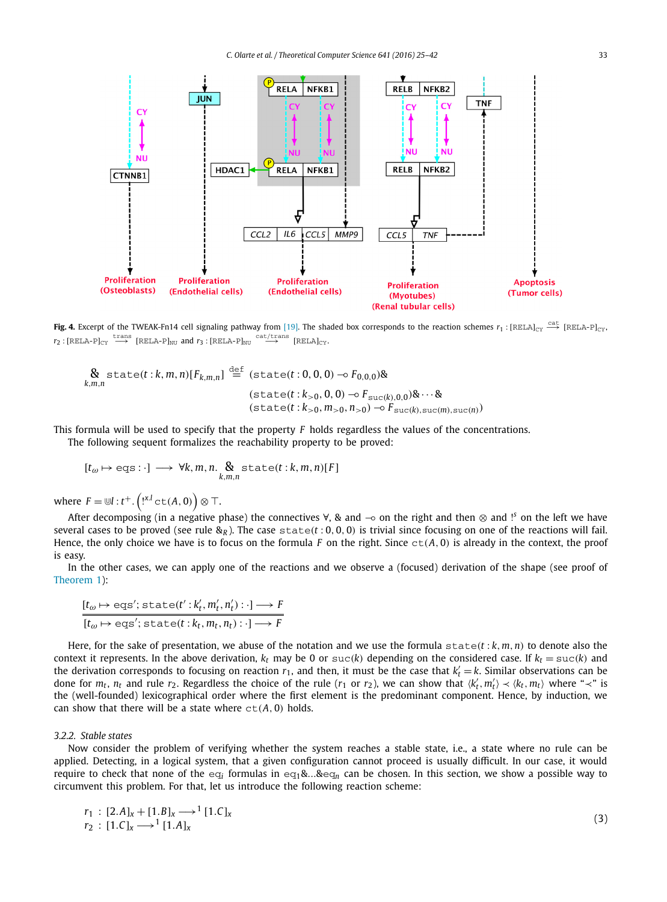<span id="page-8-0"></span>

**Fig. 4.** Excerpt of the TWEAK-Fn14 cell signaling pathway from [\[19\].](#page-17-0) The shaded box corresponds to the reaction schemes  $r_1$  : [RELA]<sub>CY</sub>  $\stackrel{\text{cat}}{\longrightarrow}$  [RELA-P]<sub>CY</sub>,  $r_2: [\text{RELA-P}]_{CY} \xrightarrow{\text{trans}} [\text{RELA-P}]_{NU}$  and  $r_3: [\text{RELA-P}]_{NU} \xrightarrow{\text{cat}/\text{trans}} [\text{RELA}]_{CY}$ .

$$
\begin{aligned} \mathbf{\&} \text{ state}(t:k,m,n)[F_{k,m,n}] & \stackrel{\text{def}}{=} (\text{state}(t:0,0,0) \to F_{0,0,0}) \& \\ & (\text{state}(t:k_{>0},0,0) \to F_{\text{suc}(k),0,0}) \& \cdots \& \\ & (\text{state}(t:k_{>0},m_{>0},n_{>0}) \to F_{\text{suc}(k),\text{suc}(m),\text{suc}(n)}) \end{aligned}
$$

This formula will be used to specify that the property *F* holds regardless the values of the concentrations.

The following sequent formalizes the reachability property to be proved:

$$
[t_{\omega} \mapsto \text{eqs} : \cdot] \longrightarrow \forall k, m, n. \underset{k,m,n}{\&} \text{state}(t : k, m, n)[F]
$$

 $\text{where} \ \, F = \Cup \colon L^+.\left( \Lap {{!}^{x.l}\cot (A,0)} \right) \otimes \top.$ 

After decomposing (in a negative phase) the connectives ∀, & and −◦ on the right and then ⊗ and ! *<sup>s</sup>* on the left we have several cases to be proved (see rule  $\&R_R$ ). The case  $state(t:0,0,0)$  is trivial since focusing on one of the reactions will fail. Hence, the only choice we have is to focus on the formula *F* on the right. Since  $ct(A, 0)$  is already in the context, the proof is easy.

In the other cases, we can apply one of the reactions and we observe a (focused) derivation of the shape (see proof of [Theorem 1\)](#page-6-0):

$$
\frac{[t_{\omega} \mapsto \text{eqs}'; \text{state}(t':k'_{t}, m'_{t}, n'_{t}): \cdot] \longrightarrow F}{[t_{\omega} \mapsto \text{eqs}'; \text{state}(t: k_{t}, m_{t}, n_{t}): \cdot] \longrightarrow F}
$$

Here, for the sake of presentation, we abuse of the notation and we use the formula  $state(t:k,m,n)$  to denote also the context it represents. In the above derivation,  $k_t$  may be 0 or  $\text{succ}(k)$  depending on the considered case. If  $k_t = \text{succ}(k)$  and the derivation corresponds to focusing on reaction  $r_1$ , and then, it must be the case that  $k'_t = k$ . Similar observations can be done for  $m_t$ ,  $n_t$  and rule  $r_2$ . Regardless the choice of the rule  $(r_1$  or  $r_2)$ , we can show that  $\langle k'_t, m'_t \rangle \prec \langle k_t, m_t \rangle$  where " $\prec$ " is the (well-founded) lexicographical order where the first element is the predominant component. Hence, by induction, we can show that there will be a state where  $ct(A, 0)$  holds.

# *3.2.2. Stable states*

Now consider the problem of verifying whether the system reaches a stable state, i.e., a state where no rule can be applied. Detecting, in a logical system, that a given configuration cannot proceed is usually difficult. In our case, it would require to check that none of the eq<sub>i</sub> formulas in eq<sub>1</sub>&...&eq<sub>n</sub> can be chosen. In this section, we show a possible way to circumvent this problem. For that, let us introduce the following reaction scheme:

$$
r_1: [2.A]_x + [1.B]_x \longrightarrow^1 [1.C]_x
$$
  
\n
$$
r_2: [1.C]_x \longrightarrow^1 [1.A]_x
$$
\n(3)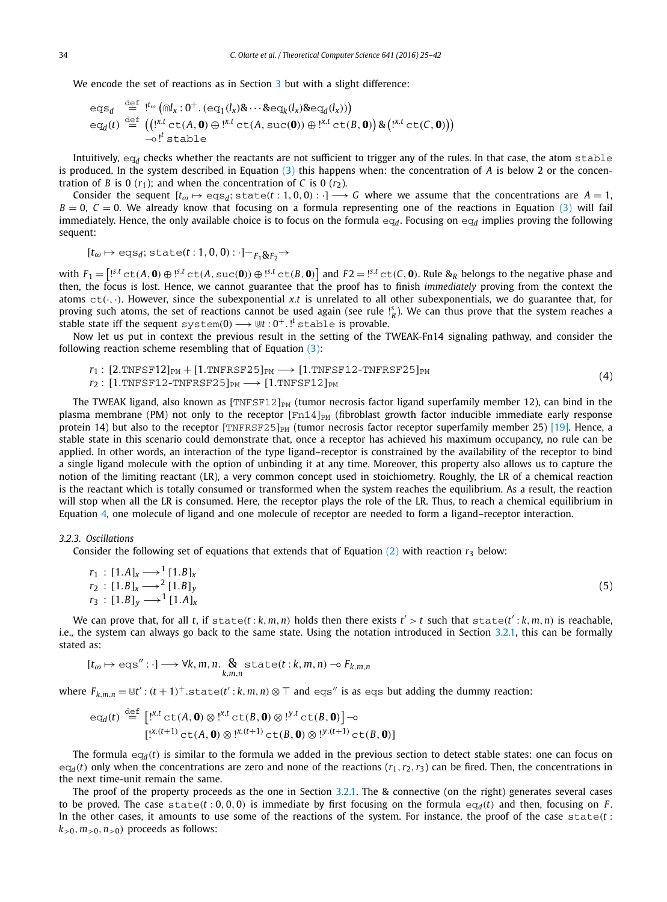<span id="page-9-0"></span>We encode the set of reactions as in Section [3](#page-4-0) but with a slight difference:

$$
\begin{array}{ll}\mathsf{eqs}_d & \stackrel{\mathrm{def}}{=} & \stackrel{\mathrm{if}_\omega}{=} \big(\mathsf{ml}_x: 0^+ \cdot (\mathsf{eq}_1(l_x) \& \cdots \& \mathsf{eq}_k(l_x) \& \mathsf{eq}_d(l_x))\big) \\ \mathsf{eq}_d(t) & \stackrel{\mathrm{def}}{=} & \big((\stackrel{\mathrm{it}}{f} \times t \subset t(A, \mathbf{0}) \oplus \stackrel{\mathrm{it}}{f} \times t \subset t(A, \mathsf{succ}(\mathbf{0})) \oplus \stackrel{\mathrm{it}}{f} \times t \subset t(B, \mathbf{0})\big) \& \big(\stackrel{\mathrm{it}}{f} \times t \subset t(C, \mathbf{0})\big)\big) \\ \multimap & \stackrel{\mathrm{it}}{=} & \mathsf{stable}\n\end{array}
$$

Intuitively,  $eq_d$  checks whether the reactants are not sufficient to trigger any of the rules. In that case, the atom stable is produced. In the system described in Equation [\(3\)](#page-8-0) this happens when: the concentration of *A* is below 2 or the concentration of *B* is 0  $(r_1)$ ; and when the concentration of *C* is 0  $(r_2)$ .

Consider the sequent  $[t_{\omega} \mapsto \text{eqs}_d; \text{state}(t:1,0,0): \cdot] \longrightarrow G$  where we assume that the concentrations are  $A = 1$ ,  $B = 0$ ,  $C = 0$ . We already know that focusing on a formula representing one of the reactions in Equation [\(3\)](#page-8-0) will fail immediately. Hence, the only available choice is to focus on the formula  $eq_d$ . Focusing on  $eq_d$  implies proving the following sequent:

$$
[t_\omega \mapsto \texttt{eqs}_d; \texttt{state}(t:1,0,0): \cdot] -_{F_1 \& F_2} \rightarrow
$$

with  $F_1 = [!^{s.t} \cot(A, \mathbf{0}) \oplus I^{s.t} \cot(A, \text{succ}(\mathbf{0})) \oplus I^{s.t} \cot(B, \mathbf{0})]$  and  $F2 = I^{s.t} \cot(C, \mathbf{0})$ . Rule  $\&R$  belongs to the negative phase and then, the focus is lost. Hence, we cannot guarantee that the proof has to finish *immediately* proving from the context the atoms ct*(*·*,*·*)*. However, since the subexponential *x.t* is unrelated to all other subexponentials, we do guarantee that, for proving such atoms, the set of reactions cannot be used again (see rule  $\frac{1}{R}$ ). We can thus prove that the system reaches a stable state iff the sequent  $\text{system}(0) \longrightarrow \mathbb{U} t: 0^+.!^t \text{ stable}$  is provable.

Now let us put in context the previous result in the setting of the TWEAK-Fn14 signaling pathway, and consider the following reaction scheme resembling that of Equation [\(3\):](#page-8-0)

$$
r_1: [2.\text{TNFSF12}]_{PM} + [1.\text{TNFRSF25}]_{PM} \longrightarrow [1.\text{TNFSF12-TNFRSF25}]_{PM}
$$
  

$$
r_2: [1.\text{TNFSF12-TNFRSF25}]_{PM} \longrightarrow [1.\text{TNFSF12}]_{PM}
$$
 (4)

The TWEAK ligand, also known as  $[TNFSF12]_{PM}$  (tumor necrosis factor ligand superfamily member 12), can bind in the plasma membrane (PM) not only to the receptor  $[Find 4]_{PM}$  (fibroblast growth factor inducible immediate early response protein 14) but also to the receptor  $[TNFRSF25]_{PM}$  (tumor necrosis factor receptor superfamily member 25) [\[19\].](#page-17-0) Hence, a stable state in this scenario could demonstrate that, once a receptor has achieved his maximum occupancy, no rule can be applied. In other words, an interaction of the type ligand–receptor is constrained by the availability of the receptor to bind a single ligand molecule with the option of unbinding it at any time. Moreover, this property also allows us to capture the notion of the limiting reactant (LR), a very common concept used in stoichiometry. Roughly, the LR of a chemical reaction is the reactant which is totally consumed or transformed when the system reaches the equilibrium. As a result, the reaction will stop when all the LR is consumed. Here, the receptor plays the role of the LR. Thus, to reach a chemical equilibrium in Equation 4, one molecule of ligand and one molecule of receptor are needed to form a ligand–receptor interaction.

#### *3.2.3. Oscillations*

Consider the following set of equations that extends that of Equation  $(2)$  with reaction  $r_3$  below:

$$
r_1: [1.A]_x \longrightarrow^1 [1.B]_x
$$
  
\n
$$
r_2: [1.B]_x \longrightarrow^2 [1.B]_y
$$
  
\n
$$
r_3: [1.B]_y \longrightarrow^1 [1.A]_x
$$
  
\n(5)

We can prove that, for all t, if  $state(t:k,m,n)$  holds then there exists  $t' > t$  such that  $state(t':k,m,n)$  is reachable, i.e., the system can always go back to the same state. Using the notation introduced in Section [3.2.1,](#page-7-0) this can be formally stated as:

$$
[t_\omega \mapsto \textnormal{\texttt{eqs}}'': \textnormal{\texttt{!}} \longrightarrow \forall k,m,n. \underset{k,m,n}{\bigotimes} \textnormal{\texttt{state}}(t:k,m,n) \multimap F_{k,m,n}
$$

where  $F_{k,m,n} = \mathbb{U}t'$ :  $(t+1)^+$ .state $(t': k, m, n) \otimes \top$  and eqs'' is as eqs but adding the dummy reaction:

$$
\text{eq}_{d}(t) \stackrel{\text{def}}{=} \left[ \begin{smallmatrix} !^{x,t} \text{ct}(A, \mathbf{0}) \otimes \cdot \cdot^{x,t} \text{ct}(B, \mathbf{0}) \otimes \cdot \cdot^{y,t} \text{ct}(B, \mathbf{0}) \end{smallmatrix} \right] - \text{o}
$$
\n
$$
\left[ \begin{smallmatrix} !^{x,(t+1)} \text{ct}(A, \mathbf{0}) \otimes \cdot \cdot^{x,(t+1)} \text{ct}(B, \mathbf{0}) \otimes \cdot \cdot^{y,(t+1)} \text{ct}(B, \mathbf{0}) \end{smallmatrix} \right]
$$

The formula  $eq_d(t)$  is similar to the formula we added in the previous section to detect stable states: one can focus on  $eq_d(t)$  only when the concentrations are zero and none of the reactions  $(r_1, r_2, r_3)$  can be fired. Then, the concentrations in the next time-unit remain the same.

The proof of the property proceeds as the one in Section [3.2.1.](#page-7-0) The & connective (on the right) generates several cases to be proved. The case  $state(t:0,0,0)$  is immediate by first focusing on the formula  $eq_d(t)$  and then, focusing on *F*. In the other cases, it amounts to use some of the reactions of the system. For instance, the proof of the case state*(t* :  $k_{>0}, m_{>0}, n_{>0}$  proceeds as follows: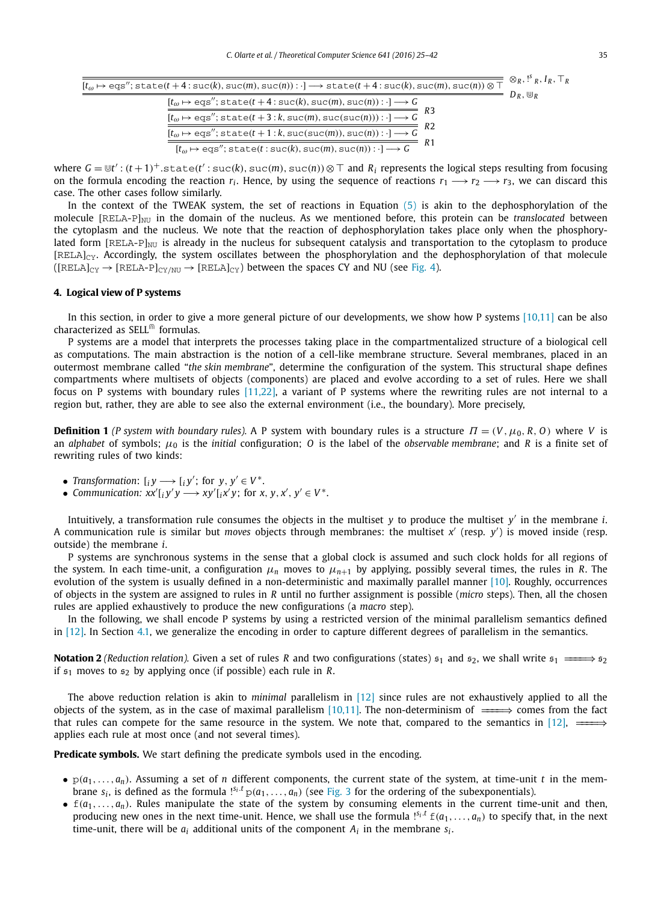<span id="page-10-0"></span>

| $[t_{\omega} \mapsto \text{egs}$ "; state( $t + 4$ : suc(k), suc(m), suc(n)): $\cdot] \longrightarrow$ state( $t + 4$ : suc(k), suc(m), suc(n)) $\otimes$ | $\otimes_R$ , <sup>15</sup> $_R$ , $I_R$ , $\top_R$ |
|-----------------------------------------------------------------------------------------------------------------------------------------------------------|-----------------------------------------------------|
| $[t_{\omega} \mapsto \text{eqs}$ "; state(t + 4 : suc(k), suc(m), suc(n)) : $\cdot$ ] $\longrightarrow$ G                                                 | $D_R$ , $\mathcal{Q}_R$                             |
| $[t_{\omega} \mapsto egs$ "; state $(t+3:k, \text{succ}(m), \text{succ}(\text{succ}(n))): \cdot] \longrightarrow G$                                       |                                                     |
| $[t_{\omega} \mapsto \text{egs}$ "; state(t + 1 : k, suc(suc(m)), suc(n)) : $\cdot$ ] $\longrightarrow$ G                                                 |                                                     |
| $[t_{\omega} \mapsto \text{eqs}$ "; state(t: suc(k), suc(m), suc(n)): $\cdot$ ] $\longrightarrow$ G                                                       |                                                     |

where  $G = \mathbb{U}t'$ :  $(t+1)^+$ .state( $t'$ : suc(k), suc(m), suc(n))  $\otimes \top$  and  $R_i$  represents the logical steps resulting from focusing on the formula encoding the reaction  $r_i$ . Hence, by using the sequence of reactions  $r_1 \rightarrow r_2 \rightarrow r_3$ , we can discard this case. The other cases follow similarly.

In the context of the TWEAK system, the set of reactions in Equation [\(5\)](#page-9-0) is akin to the dephosphorylation of the molecule [RELA-P]<sub>NU</sub> in the domain of the nucleus. As we mentioned before, this protein can be *translocated* between the cytoplasm and the nucleus. We note that the reaction of dephosphorylation takes place only when the phosphorylated form  $[RELA-P]_{\text{NU}}$  is already in the nucleus for subsequent catalysis and transportation to the cytoplasm to produce [RELA]<sub>CY</sub>. Accordingly, the system oscillates between the phosphorylation and the dephosphorylation of that molecule  $({\rm [RELA]_{CY}} \rightarrow {\rm [RELA-P]_{CY/NI}} \rightarrow {\rm [RELA]_{CY}}$  between the spaces CY and NU (see [Fig. 4\)](#page-8-0).

# **4. Logical view of P systems**

In this section, in order to give a more general picture of our developments, we show how P systems [\[10,11\]](#page-16-0) can be also characterized as SELL $^{\text{\textregistered}}$  formulas.

P systems are a model that interprets the processes taking place in the compartmentalized structure of a biological cell as computations. The main abstraction is the notion of a cell-like membrane structure. Several membranes, placed in an outermost membrane called "*the skin membrane*", determine the configuration of the system. This structural shape defines compartments where multisets of objects (components) are placed and evolve according to a set of rules. Here we shall focus on P systems with boundary rules [\[11,22\],](#page-16-0) a variant of P systems where the rewriting rules are not internal to a region but, rather, they are able to see also the external environment (i.e., the boundary). More precisely,

**Definition 1** (P system with boundary rules). A P system with boundary rules is a structure  $\Pi = (V, \mu_0, R, 0)$  where V is an *alphabet* of symbols;  $\mu_0$  is the *initial* configuration; *O* is the label of the *observable* membrane; and *R* is a finite set of rewriting rules of two kinds:

- *Transformation:*  $[i y \rightarrow [i y' ; for y, y' \in V^*].$
- *Communication:*  $xx'[_i y' y \longrightarrow xy'[_i x' y;$  for  $x, y, x', y' \in V^*$ .

Intuitively, a transformation rule consumes the objects in the multiset *y* to produce the multiset *y* in the membrane *i*. A communication rule is similar but *moves* objects through membranes: the multiset *x* (resp. *y* ) is moved inside (resp. outside) the membrane *i*.

P systems are synchronous systems in the sense that a global clock is assumed and such clock holds for all regions of the system. In each time-unit, a configuration  $\mu_n$  moves to  $\mu_{n+1}$  by applying, possibly several times, the rules in *R*. The evolution of the system is usually defined in a non-deterministic and maximally parallel manner [\[10\].](#page-16-0) Roughly, occurrences of objects in the system are assigned to rules in *R* until no further assignment is possible (*micro* steps). Then, all the chosen rules are applied exhaustively to produce the new configurations (a *macro* step).

In the following, we shall encode P systems by using a restricted version of the minimal parallelism semantics defined in [\[12\].](#page-16-0) In Section [4.1,](#page-12-0) we generalize the encoding in order to capture different degrees of parallelism in the semantics.

**Notation 2** *(Reduction relation).* Given a set of rules *R* and two configurations (states)  $s_1$  and  $s_2$ , we shall write  $s_1 \implies s_2$ if  $s_1$  moves to  $s_2$  by applying once (if possible) each rule in *R*.

The above reduction relation is akin to *minimal* parallelism in [\[12\]](#page-16-0) since rules are not exhaustively applied to all the objects of the system, as in the case of maximal parallelism  $[10,11]$ . The non-determinism of  $\implies$  comes from the fact that rules can compete for the same resource in the system. We note that, compared to the semantics in  $[12]$ ,  $\implies$ applies each rule at most once (and not several times).

**Predicate symbols.** We start defining the predicate symbols used in the encoding.

- $p(a_1, \ldots, a_n)$ . Assuming a set of *n* different components, the current state of the system, at time-unit *t* in the membrane  $s_i$ , is defined as the formula  $!^{s_i.t} p(a_1, \ldots, a_n)$  (see [Fig. 3](#page-6-0) for the ordering of the subexponentials).
- $\bullet$   $f(a_1, \ldots, a_n)$ . Rules manipulate the state of the system by consuming elements in the current time-unit and then, producing new ones in the next time-unit. Hence, we shall use the formula  $!^{s_i,t}$   $f(a_1,...,a_n)$  to specify that, in the next time-unit, there will be  $a_i$  additional units of the component  $A_i$  in the membrane  $s_i$ .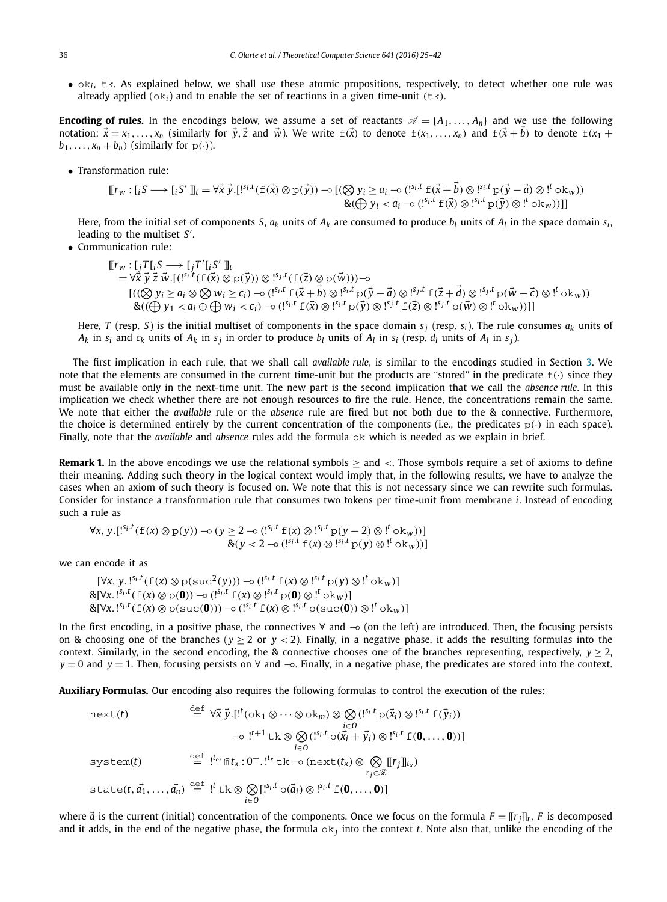• ok*<sup>i</sup>* , tk. As explained below, we shall use these atomic propositions, respectively, to detect whether one rule was already applied (ok*i*) and to enable the set of reactions in a given time-unit *(*tk*)*.

**Encoding of rules.** In the encodings below, we assume a set of reactants  $\mathscr{A} = \{A_1, \ldots, A_n\}$  and we use the following notation:  $\vec{x} = x_1,...,x_n$  (similarly for  $\vec{y}, \vec{z}$  and  $\vec{w}$ ). We write  $f(\vec{x})$  to denote  $f(x_1,...,x_n)$  and  $f(\vec{x} + \vec{b})$  to denote  $f(x_1 + \vec{b})$  $b_1, \ldots, x_n + b_n$  (similarly for  $p(\cdot)$ ).

• Transformation rule:

$$
[[r_w : [iS \longrightarrow [iS']]_t = \forall \vec{x} \ \vec{y}. [!^{s_i.t} (\vec{r} \cdot (\vec{x}) \otimes p(\vec{y})) \negthinspace \circ \negthinspace [(\bigotimes y_i \geq a_i \negthinspace \circ \negthinspace (!^{s_i.t} \ \vec{r} \cdot (\vec{x} + \vec{b}) \otimes \negthinspace !^{s_i.t} p(\vec{y} - \vec{a}) \otimes \negthinspace !^{t} \circ \negthinspace k_w))]
$$
\n
$$
\& (\bigoplus y_i < a_i \negthinspace \circ \negthinspace (!^{s_i.t} \ \vec{r} \cdot (\vec{x}) \otimes \negthinspace !^{s_i.t} p(\vec{y}) \otimes \negthinspace !^{t} \circ \negthinspace k_w))]]
$$

Here, from the initial set of components *S*,  $a_k$  units of  $A_k$  are consumed to produce  $b_l$  units of  $A_l$  in the space domain  $s_i$ , leading to the multiset *S* .

• Communication rule:

$$
\begin{array}{l} [[r_w : [jT[_iS \longrightarrow [jT'[iS' ]]_t \\ = \forall \vec{x} \ \vec{y} \ \vec{z} \ \vec{w} . [(!^{s_i.t}(f(\vec{x}) \otimes p(\vec{y})) \otimes !^{s_j.t}(f(\vec{z}) \otimes p(\vec{w})))- \\ & [((\bigotimes y_i \geq a_i \otimes \bigotimes w_i \geq c_i) \multimap (!^{s_i.t} f(\vec{x} + \vec{b}) \otimes !^{s_i.t} p(\vec{y} - \vec{a}) \otimes !^{s_j.t} f(\vec{z} + \vec{d}) \otimes !^{s_j.t} p(\vec{w} - \vec{c}) \otimes !^t \circ k_w)) \\ & \& ((\bigoplus y_1 < a_i \oplus \bigoplus w_i < c_i) \multimap (!^{s_i.t} f(\vec{x}) \otimes !^{s_i.t} p(\vec{y}) \otimes !^{s_j.t} f(\vec{z}) \otimes !^{s_j.t} p(\vec{w}) \otimes !^t \circ k_w))]] \end{array}
$$

Here, *T* (resp. *S*) is the initial multiset of components in the space domain  $s_i$  (resp.  $s_i$ ). The rule consumes  $a_k$  units of  $A_k$  in  $s_i$  and  $c_k$  units of  $A_k$  in  $s_j$  in order to produce  $b_l$  units of  $A_l$  in  $s_i$  (resp.  $d_l$  units of  $A_l$  in  $s_j$ ).

The first implication in each rule, that we shall call *available rule*, is similar to the encodings studied in Section [3.](#page-4-0) We note that the elements are consumed in the current time-unit but the products are "stored" in the predicate f*(*·*)* since they must be available only in the next-time unit. The new part is the second implication that we call the *absence rule*. In this implication we check whether there are not enough resources to fire the rule. Hence, the concentrations remain the same. We note that either the *available* rule or the *absence* rule are fired but not both due to the & connective. Furthermore, the choice is determined entirely by the current concentration of the components (i.e., the predicates  $p(\cdot)$  in each space). Finally, note that the *available* and *absence* rules add the formula ok which is needed as we explain in brief.

**Remark 1.** In the above encodings we use the relational symbols ≥ and *<*. Those symbols require a set of axioms to define their meaning. Adding such theory in the logical context would imply that, in the following results, we have to analyze the cases when an axiom of such theory is focused on. We note that this is not necessary since we can rewrite such formulas. Consider for instance a transformation rule that consumes two tokens per time-unit from membrane *i*. Instead of encoding such a rule as

$$
\forall x, y . [!^{s_i.t}(\texttt{f}(x) \otimes \texttt{p}(y)) \neg o (y \geq 2 \neg o (!^{s_i.t} \texttt{f}(x) \otimes !^{s_i.t} \texttt{p}(y-2) \otimes !^{t} \texttt{ok}_w))]
$$
  

$$
\& (y < 2 \neg o (!^{s_i.t} \texttt{f}(x) \otimes !^{s_i.t} \texttt{p}(y) \otimes !^{t} \texttt{ok}_w))]
$$

we can encode it as

 $[\forall x, y. !^{s_i.t}(\texttt{f}(x) \otimes p(\texttt{suc}^2(y))) \negthinspace \negthinspace \negthinspace \negthinspace \negthinspace (!^{s_i.t} \texttt{f}(x) \otimes !^{s_i.t} p(y) \otimes !^{t} \texttt{ok}_w)]$  $\&[\forall x. !^{s_i.t}(\texttt{f}(x) \otimes \texttt{p}(\textbf{0})) \multimap (!^{s_i.t} \texttt{f}(x) \otimes !^{s_i.t} \texttt{p}(\textbf{0}) \otimes !^{t} \texttt{ok}_w)]$  $\&[\forall x. !^{\mathfrak{s}_i.t}(\texttt{f}(x) \otimes \texttt{p}(\texttt{suc}(\textbf{0}))) \multimap (!^{\mathfrak{s}_i.t} \texttt{f}(x) \otimes !^{\mathfrak{s}_i.t} \texttt{p}(\texttt{suc}(\textbf{0})) \otimes !^t \texttt{ok}_w)]$ 

In the first encoding, in a positive phase, the connectives ∀ and  $\sim$  (on the left) are introduced. Then, the focusing persists on & choosing one of the branches ( $y \ge 2$  or  $y < 2$ ). Finally, in a negative phase, it adds the resulting formulas into the context. Similarly, in the second encoding, the & connective chooses one of the branches representing, respectively,  $y \ge 2$ , *y* = 0 and *y* = 1. Then, focusing persists on ∀ and  $\sim$ . Finally, in a negative phase, the predicates are stored into the context.

**Auxiliary Formulas.** Our encoding also requires the following formulas to control the execution of the rules:

next(t) 
$$
\stackrel{\text{def}}{=} \forall \vec{x} \vec{y}.["(\text{ok}_1 \otimes \cdots \otimes \text{ok}_m) \otimes \bigotimes_{i \in O} (!^{s_i \cdot t} p(\vec{x}_i) \otimes !^{s_i \cdot t} f(\vec{y}_i))
$$

$$
\rightarrow !^{t+1} \forall k \otimes \bigotimes_{i \in O} (!^{s_i \cdot t} p(\vec{x}_i + \vec{y}_i) \otimes !^{s_i \cdot t} f(\mathbf{0}, \dots, \mathbf{0}))]
$$
  
system(t) 
$$
\stackrel{\text{def}}{=} !^{t_{\omega}} \text{filt}_{\mathbf{x}} : \mathbf{0}^+ \cdot !^{t_{\mathbf{x}}} \forall k \sim (n \text{ext}(t_{\mathbf{x}}) \otimes \bigotimes_{r_j \in \mathcal{R}} [r_j] I_{t_{\mathbf{x}}})
$$

$$
\text{state}(t, \vec{a_1}, \dots, \vec{a_n}) \stackrel{\text{def}}{=} !^{t} \forall k \otimes \bigotimes_{i \in O} [!^{s_i \cdot t} p(\vec{a}_i) \otimes !^{s_i \cdot t} f(\mathbf{0}, \dots, \mathbf{0})]
$$

where  $\vec{a}$  is the current (initial) concentration of the components. Once we focus on the formula  $F = [[r_j]]_t$ , *F* is decomposed and it adds, in the end of the negative phase, the formula  $\alpha k_j$  into the context *t*. Note also that, unlike the encoding of the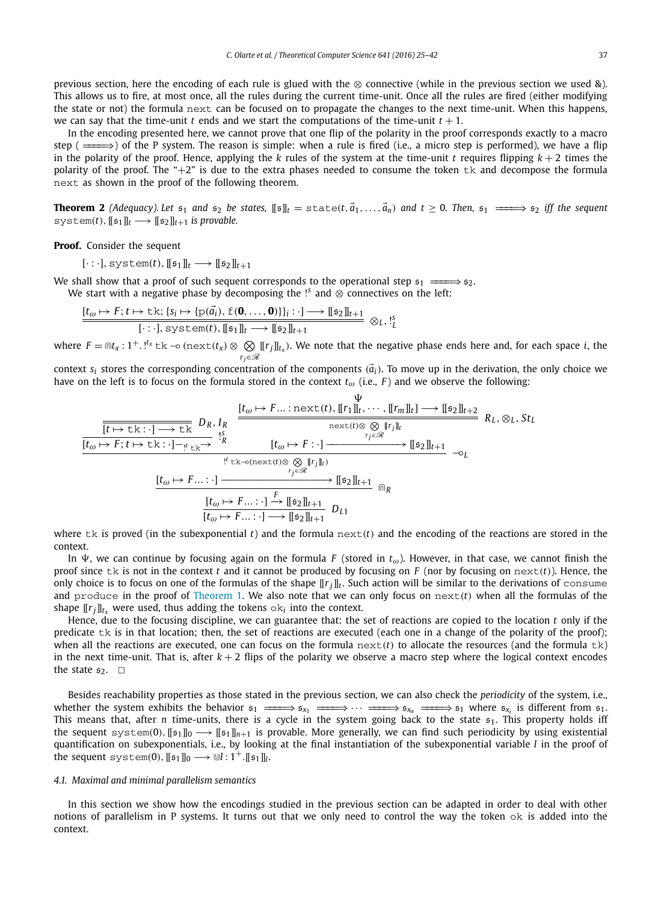<span id="page-12-0"></span>previous section, here the encoding of each rule is glued with the ⊗ connective (while in the previous section we used &). This allows us to fire, at most once, all the rules during the current time-unit. Once all the rules are fired (either modifying the state or not) the formula next can be focused on to propagate the changes to the next time-unit. When this happens, we can say that the time-unit *t* ends and we start the computations of the time-unit  $t + 1$ .

In the encoding presented here, we cannot prove that one flip of the polarity in the proof corresponds exactly to a macro step ( $\implies$ ) of the P system. The reason is simple: when a rule is fired (i.e., a micro step is performed), we have a flip in the polarity of the proof. Hence, applying the *k* rules of the system at the time-unit *t* requires flipping  $k + 2$  times the polarity of the proof. The "+2" is due to the extra phases needed to consume the token  $\pm k$  and decompose the formula next as shown in the proof of the following theorem.

**Theorem 2** (Adequacy). Let  $s_1$  and  $s_2$  be states,  $\|\mathfrak{s}\|_t =$  state(t,  $\vec{a}_1, \ldots, \vec{a}_n$ ) and  $t \ge 0$ . Then,  $s_1 \implies s_2$  iff the sequent  $system(t), \llbracket s_1 \rrbracket_t \longrightarrow \llbracket s_2 \rrbracket_{t+1}$  *is provable.* 

**Proof.** Consider the sequent

 $[\cdot : \cdot]$ , system $(t)$ ,  $[\![s_1]\!]_t \longrightarrow [\![s_2]\!]_{t+1}$ 

We shall show that a proof of such sequent corresponds to the operational step  $\mathfrak{s}_1 \longrightarrow \mathfrak{s}_2$ . We start with a negative phase by decomposing the ! *<sup>s</sup>* and ⊗ connectives on the left:

$$
\frac{[t_{\omega} \mapsto F; t \mapsto \text{tk}; \{s_i \mapsto \{p(\vec{a}_i), f(\mathbf{0}, \dots, \mathbf{0})\}\}_i : \cdot] \longrightarrow [f \circ \mathbf{z}]_{t+1}}{[\cdot : \cdot], \text{system}(t), [f \circ \mathbf{z}]_{t+1}} \otimes_L, \cdot_L^s
$$

where  $F = \Cap t_x : 1^+$ .!<sup>tx</sup> <code>tk</code>  $\multimap$   $(\operatorname{next}(t_x) \otimes \bigotimes \llbracket r_j \rrbracket_{t_x}$ . We note that the negative phase ends here and, for each space *i*, the *rj*∈R

context  $s_i$  stores the corresponding concentration of the components  $(\vec{a}_i)$ . To move up in the derivation, the only choice we have on the left is to focus on the formula stored in the context  $t_\omega$  (i.e., *F*) and we observe the following:

$$
\frac{\Psi}{[t \mapsto \text{tk} : \cdot] \mapsto \text{tk}} \quad D_R, I_R \quad \xrightarrow{\text{Text}(t), \|\Gamma\|_{t}, \dots, \|\Gamma\|_{t}\|\longrightarrow \|\mathfrak{s}_{2}\|_{t+2}} \quad R_L, \otimes_L, St_L
$$
\n
$$
\xrightarrow{\text{Text}(t) \otimes \bigotimes_{j \in \mathcal{R}} \|r_j\|_{t}} \qquad \qquad \text{Text}(t) \otimes \bigotimes_{r_j \in \mathcal{R}} \|r_j\|_{t}
$$
\n
$$
\xrightarrow{\text{Text}(t) \otimes \bigotimes_{r_j \in \mathcal{R}} \|r_j\|_{t}} \qquad \qquad \text{Let } \Gamma \text{ is the set } \mathcal{M} \text{ is the set } \mathcal{M} \text{ is the set } \mathcal{M} \text{ is the set } \mathcal{M} \text{ is the set } \mathcal{M} \text{ is the set } \mathcal{M} \text{ is the set } \mathcal{M} \text{ is the set } \mathcal{M} \text{ is the set } \mathcal{M} \text{ is the set } \mathcal{M} \text{ is the set } \mathcal{M} \text{ is the set } \mathcal{M} \text{ is the set } \mathcal{M} \text{ is the set } \mathcal{M} \text{ is the set } \mathcal{M} \text{ is the set } \mathcal{M} \text{ is the set } \mathcal{M} \text{ is the set } \mathcal{M} \text{ is the set } \mathcal{M} \text{ is the set } \mathcal{M} \text{ is the set } \mathcal{M} \text{ is the set } \mathcal{M} \text{ is the set } \mathcal{M} \text{ is the set } \mathcal{M} \text{ is the set } \mathcal{M} \text{ is the set } \mathcal{M} \text{ is the set } \mathcal{M} \text{ is the set } \mathcal{M} \text{ is the set } \mathcal{M} \text{ is the set } \mathcal{M} \text{ is the set } \mathcal{M} \text{ is the set } \mathcal{M} \text{ is the set } \mathcal{M} \text{ is the set } \mathcal{M} \text{ is the set } \mathcal{M} \text{ is the set } \mathcal{M} \text{ is the set } \mathcal{M} \text{ is the set } \mathcal{M} \text{ is the set } \mathcal{M} \text{ is the set } \mathcal{M} \text{ is the set
$$

where  $t$ k is proved (in the subexponential  $t$ ) and the formula  $\text{next}(t)$  and the encoding of the reactions are stored in the context.

In  $\Psi$ , we can continue by focusing again on the formula *F* (stored in  $t_\omega$ ). However, in that case, we cannot finish the proof since  $\forall$ k is not in the context *t* and it cannot be produced by focusing on *F* (nor by focusing on  $next(t)$ ). Hence, the only choice is to focus on one of the formulas of the shape [[*rj*]]*t*. Such action will be similar to the derivations of consume and produce in the proof of [Theorem 1.](#page-6-0) We also note that we can only focus on  $next(t)$  when all the formulas of the shape  $[[r_j]]_{t_x}$  were used, thus adding the tokens  $\circ k_i$  into the context.

Hence, due to the focusing discipline, we can guarantee that: the set of reactions are copied to the location *t* only if the predicate  $t_k$  is in that location; then, the set of reactions are executed (each one in a change of the polarity of the proof); when all the reactions are executed, one can focus on the formula  $next(t)$  to allocate the resources (and the formula  $tk$ ) in the next time-unit. That is, after  $k + 2$  flips of the polarity we observe a macro step where the logical context encodes the state  $s_2$ .  $\Box$ 

Besides reachability properties as those stated in the previous section, we can also check the *periodicity* of the system, i.e., whether the system exhibits the behavior  $s_1 \longrightarrow s_{x_1} \longrightarrow s_{x_1} \longrightarrow \cdots \longrightarrow s_{x_n} \longrightarrow s_1$  where  $s_{x_i}$  is different from  $s_1$ . This means that, after *n* time-units, there is a cycle in the system going back to the state  $s_1$ . This property holds iff the sequent system(0),  $[\![s_1]\!]_0 \longrightarrow [\![s_1]\!]_{n+1}$  is provable. More generally, we can find such periodicity by using existential quantification on subexponentials, i.e., by looking at the final instantiation of the subexponential variable *l* in the proof of the sequent system $(0)$ ,  $[\mathfrak{s}_1]_0 \longrightarrow \mathfrak{W}: 1^+$ .  $[\mathfrak{s}_1]_l$ .

### *4.1. Maximal and minimal parallelism semantics*

In this section we show how the encodings studied in the previous section can be adapted in order to deal with other notions of parallelism in P systems. It turns out that we only need to control the way the token ok is added into the context.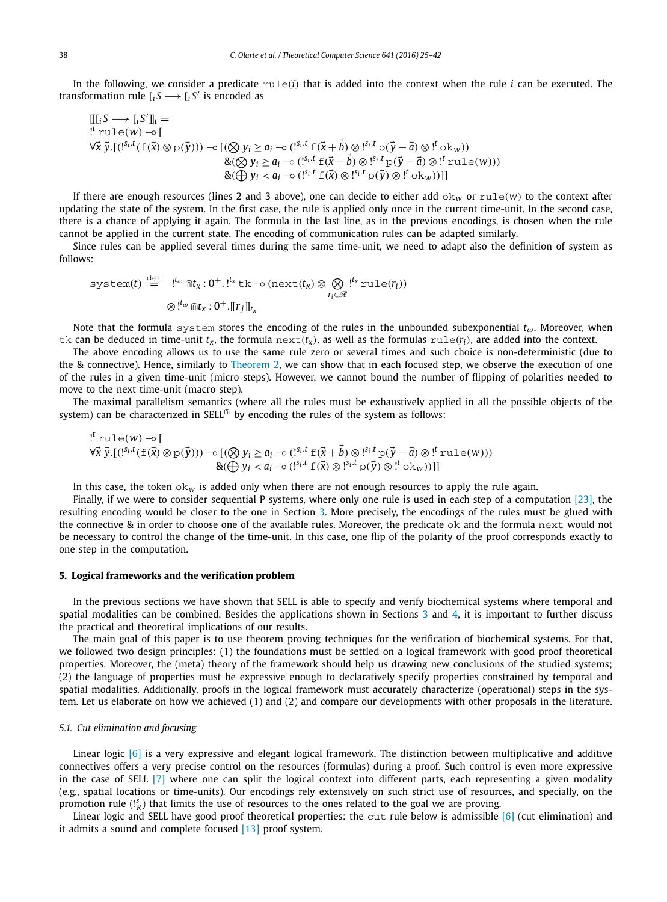<span id="page-13-0"></span>In the following, we consider a predicate rule*(i)* that is added into the context when the rule *i* can be executed. The transformation rule  $[iS \rightarrow [iS']$  is encoded as

[[[*<sup>i</sup> <sup>S</sup>* −→ [*<sup>i</sup> <sup>S</sup>* ]]*<sup>t</sup>* = ! *<sup>t</sup>* rule*(w)* −◦ [ ∀ *x y.*[*(*! *si .t (*f*( x)* ⊗ p*( y)))* −◦ [*( yi* ≥ *ai* −◦ *(*! *si .<sup>t</sup>* f*( x* + *b)* ⊗ !*si .<sup>t</sup>* p*( y* − *a)* ⊗ !*<sup>t</sup>* ok*<sup>w</sup> ))* &*( yi* ≥ *ai* −◦ *(*! *si .<sup>t</sup>* f*( x* + *b)* ⊗ !*si .<sup>t</sup>* p*( y* − *a)* ⊗ !*<sup>t</sup>* rule*(w)))* &*( yi < ai* −◦ *(*! *si.<sup>t</sup>* f*( x)* ⊗ !*si .<sup>t</sup>* p*( y)* ⊗ !*<sup>t</sup>* ok*<sup>w</sup> ))*]]

If there are enough resources (lines 2 and 3 above), one can decide to either add  $\circ k_w$  or  $\text{rule}(w)$  to the context after updating the state of the system. In the first case, the rule is applied only once in the current time-unit. In the second case, there is a chance of applying it again. The formula in the last line, as in the previous encodings, is chosen when the rule cannot be applied in the current state. The encoding of communication rules can be adapted similarly.

Since rules can be applied several times during the same time-unit, we need to adapt also the definition of system as follows:

$$
\begin{aligned} \text{system}(t) & \stackrel{\text{def}}{=} & \; \mathsf{I}^{t_{\omega}} \cap t_x : 0^+ \cdot \mathsf{I}^{t_x} \text{tk} \sim (\text{next}(t_x) \otimes \bigotimes_{r_i \in \mathcal{R}} \mathsf{I}^{t_x} \text{rule}(r_i)) \\ &\otimes \mathsf{I}^{t_{\omega}} \cap t_x : 0^+ \cdot \llbracket r_j \rrbracket_{t_x} \end{aligned}
$$

Note that the formula system stores the encoding of the rules in the unbounded subexponential *tω*. Moreover, when tk can be deduced in time-unit  $t_x$ , the formula next $(t_x)$ , as well as the formulas  $r \mu e(r_i)$ , are added into the context.

The above encoding allows us to use the same rule zero or several times and such choice is non-deterministic (due to the & connective). Hence, similarly to [Theorem 2,](#page-12-0) we can show that in each focused step, we observe the execution of one of the rules in a given time-unit (micro steps). However, we cannot bound the number of flipping of polarities needed to move to the next time-unit (macro step).

The maximal parallelism semantics (where all the rules must be exhaustively applied in all the possible objects of the system) can be characterized in SELL<sup> $\text{m}$ </sup> by encoding the rules of the system as follows:

$$
\begin{array}{l} \n \text{!} \quad \text{ } \forall \vec{x} \ \vec{y}.[(\mathbf{1}^{s_i.t}(\mathbf{f}(\vec{x}) \otimes \mathbf{p}(\vec{y}))) \multimap [(\bigotimes y_i \geq a_i \multimap (\mathbf{1}^{s_i.t} \ \mathbf{f}(\vec{x}+\vec{b}) \otimes \mathbf{1}^{s_i.t} \mathbf{p}(\vec{y}-\vec{a}) \otimes \mathbf{1}^t \mathbf{r} \mathbf{u} \mathbf{1} \mathbf{e}(w))) \\ \n \quad \text{ } \& (\bigoplus y_i < a_i \multimap (\mathbf{1}^{s_i.t} \ \mathbf{f}(\vec{x}) \otimes \mathbf{1}^{s_i.t} \mathbf{p}(\vec{y}) \otimes \mathbf{1}^t \mathbf{o} \mathbf{k}_w))]] \n \end{array}
$$

In this case, the token  $\alpha_{w}$  is added only when there are not enough resources to apply the rule again.

Finally, if we were to consider sequential P systems, where only one rule is used in each step of a computation [\[23\],](#page-17-0) the resulting encoding would be closer to the one in Section [3.](#page-4-0) More precisely, the encodings of the rules must be glued with the connective & in order to choose one of the available rules. Moreover, the predicate ok and the formula next would not be necessary to control the change of the time-unit. In this case, one flip of the polarity of the proof corresponds exactly to one step in the computation.

### **5. Logical frameworks and the verification problem**

In the previous sections we have shown that SELL is able to specify and verify biochemical systems where temporal and spatial modalities can be combined. Besides the applications shown in Sections  $3$  and  $4$ , it is important to further discuss the practical and theoretical implications of our results.

The main goal of this paper is to use theorem proving techniques for the verification of biochemical systems. For that, we followed two design principles: (1) the foundations must be settled on a logical framework with good proof theoretical properties. Moreover, the (meta) theory of the framework should help us drawing new conclusions of the studied systems; (2) the language of properties must be expressive enough to declaratively specify properties constrained by temporal and spatial modalities. Additionally, proofs in the logical framework must accurately characterize (operational) steps in the system. Let us elaborate on how we achieved (1) and (2) and compare our developments with other proposals in the literature.

# *5.1. Cut elimination and focusing*

Linear logic [\[6\]](#page-16-0) is a very expressive and elegant logical framework. The distinction between multiplicative and additive connectives offers a very precise control on the resources (formulas) during a proof. Such control is even more expressive in the case of SELL [\[7\]](#page-16-0) where one can split the logical context into different parts, each representing a given modality (e.g., spatial locations or time-units). Our encodings rely extensively on such strict use of resources, and specially, on the promotion rule ( $\binom{5}{R}$ ) that limits the use of resources to the ones related to the goal we are proving.

Linear logic and SELL have good proof theoretical properties: the cut rule below is admissible  $[6]$  (cut elimination) and it admits a sound and complete focused [\[13\]](#page-16-0) proof system.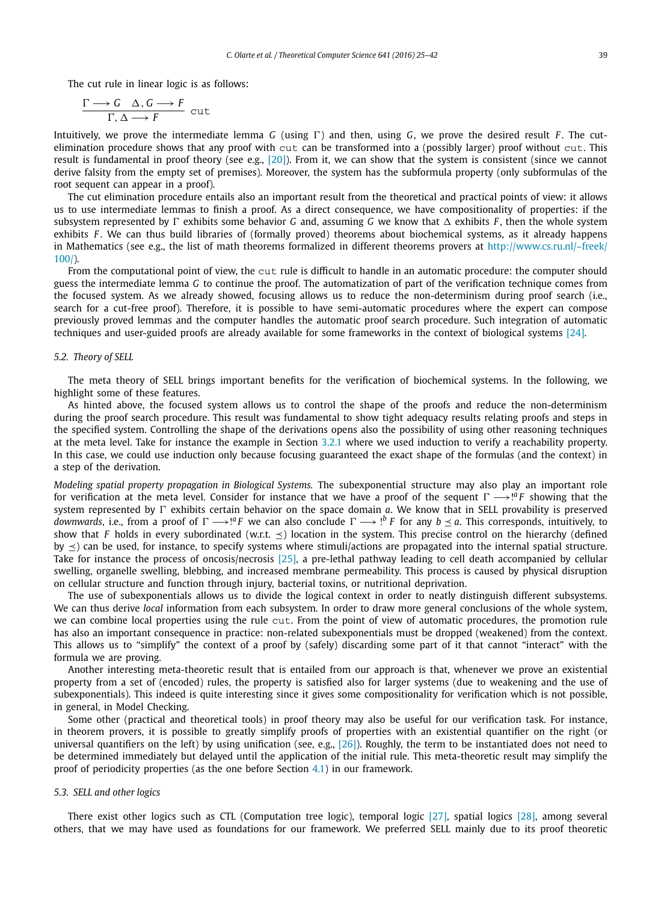The cut rule in linear logic is as follows:

$$
\frac{\Gamma \longrightarrow G \quad \Delta, G \longrightarrow F}{\Gamma, \Delta \longrightarrow F} \text{ cut}
$$

Intuitively, we prove the intermediate lemma *G* (using  $\Gamma$ ) and then, using *G*, we prove the desired result *F*. The cutelimination procedure shows that any proof with cut can be transformed into a (possibly larger) proof without cut. This result is fundamental in proof theory (see e.g., [\[20\]\)](#page-17-0). From it, we can show that the system is consistent (since we cannot derive falsity from the empty set of premises). Moreover, the system has the subformula property (only subformulas of the root sequent can appear in a proof).

The cut elimination procedure entails also an important result from the theoretical and practical points of view: it allows us to use intermediate lemmas to finish a proof. As a direct consequence, we have compositionality of properties: if the subsystem represented by  $\Gamma$  exhibits some behavior  $G$  and, assuming  $G$  we know that  $\Delta$  exhibits  $F$ , then the whole system exhibits *F*. We can thus build libraries of (formally proved) theorems about biochemical systems, as it already happens in Mathematics (see e.g., the list of math theorems formalized in different theorems provers at [http://www.cs.ru.nl/~freek/](http://www.cs.ru.nl/~freek/100/) [100/](http://www.cs.ru.nl/~freek/100/)).

From the computational point of view, the cut rule is difficult to handle in an automatic procedure: the computer should guess the intermediate lemma *G* to continue the proof. The automatization of part of the verification technique comes from the focused system. As we already showed, focusing allows us to reduce the non-determinism during proof search (i.e., search for a cut-free proof). Therefore, it is possible to have semi-automatic procedures where the expert can compose previously proved lemmas and the computer handles the automatic proof search procedure. Such integration of automatic techniques and user-guided proofs are already available for some frameworks in the context of biological systems [\[24\].](#page-17-0)

#### *5.2. Theory of SELL*

The meta theory of SELL brings important benefits for the verification of biochemical systems. In the following, we highlight some of these features.

As hinted above, the focused system allows us to control the shape of the proofs and reduce the non-determinism during the proof search procedure. This result was fundamental to show tight adequacy results relating proofs and steps in the specified system. Controlling the shape of the derivations opens also the possibility of using other reasoning techniques at the meta level. Take for instance the example in Section [3.2.1](#page-7-0) where we used induction to verify a reachability property. In this case, we could use induction only because focusing guaranteed the exact shape of the formulas (and the context) in a step of the derivation.

*Modeling spatial property propagation in Biological Systems.* The subexponential structure may also play an important role for verification at the meta level. Consider for instance that we have a proof of the sequent  $\Gamma\longrightarrow$ <sup>14</sup>F showing that the system represented by  $\Gamma$  exhibits certain behavior on the space domain *a*. We know that in SELL provability is preserved *downwards*, i.e., from a proof of  $\Gamma \longrightarrow !^a F$  we can also conclude  $\Gamma \longrightarrow !^b F$  for any  $b \preceq a$ . This corresponds, intuitively, to show that *F* holds in every subordinated (w.r.t.  $\leq$ ) location in the system. This precise control on the hierarchy (defined by  $\prec$ ) can be used, for instance, to specify systems where stimuli/actions are propagated into the internal spatial structure. Take for instance the process of oncosis/necrosis [\[25\],](#page-17-0) a pre-lethal pathway leading to cell death accompanied by cellular swelling, organelle swelling, blebbing, and increased membrane permeability. This process is caused by physical disruption on cellular structure and function through injury, bacterial toxins, or nutritional deprivation.

The use of subexponentials allows us to divide the logical context in order to neatly distinguish different subsystems. We can thus derive *local* information from each subsystem. In order to draw more general conclusions of the whole system, we can combine local properties using the rule cut. From the point of view of automatic procedures, the promotion rule has also an important consequence in practice: non-related subexponentials must be dropped (weakened) from the context. This allows us to "simplify" the context of a proof by (safely) discarding some part of it that cannot "interact" with the formula we are proving.

Another interesting meta-theoretic result that is entailed from our approach is that, whenever we prove an existential property from a set of (encoded) rules, the property is satisfied also for larger systems (due to weakening and the use of subexponentials). This indeed is quite interesting since it gives some compositionality for verification which is not possible, in general, in Model Checking.

Some other (practical and theoretical tools) in proof theory may also be useful for our verification task. For instance, in theorem provers, it is possible to greatly simplify proofs of properties with an existential quantifier on the right (or universal quantifiers on the left) by using unification (see, e.g.,  $[26]$ ). Roughly, the term to be instantiated does not need to be determined immediately but delayed until the application of the initial rule. This meta-theoretic result may simplify the proof of periodicity properties (as the one before Section [4.1\)](#page-12-0) in our framework.

### *5.3. SELL and other logics*

There exist other logics such as CTL (Computation tree logic), temporal logic [\[27\],](#page-17-0) spatial logics [\[28\],](#page-17-0) among several others, that we may have used as foundations for our framework. We preferred SELL mainly due to its proof theoretic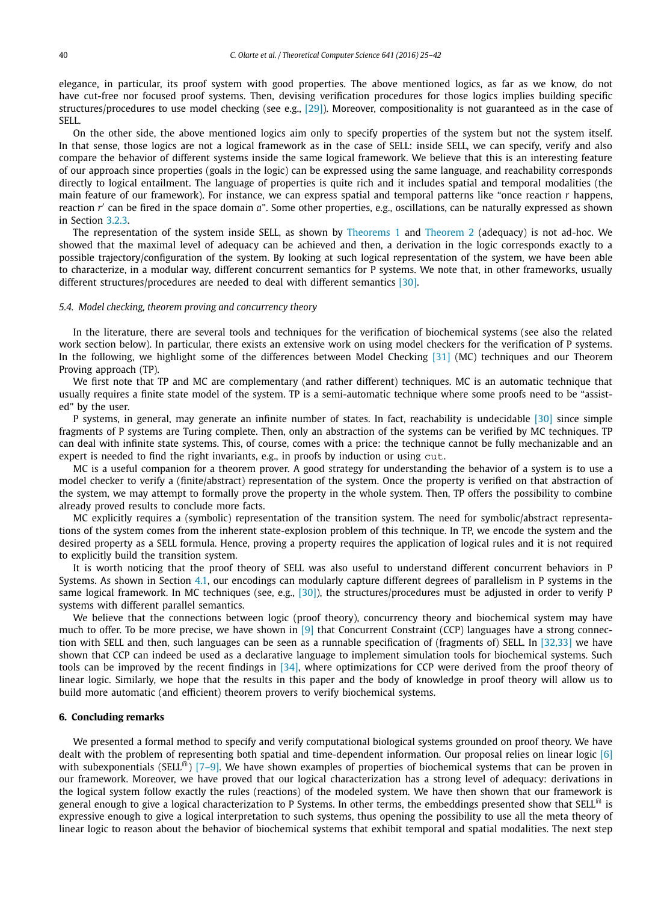<span id="page-15-0"></span>elegance, in particular, its proof system with good properties. The above mentioned logics, as far as we know, do not have cut-free nor focused proof systems. Then, devising verification procedures for those logics implies building specific structures/procedures to use model checking (see e.g., [\[29\]\)](#page-17-0). Moreover, compositionality is not guaranteed as in the case of SELL.

On the other side, the above mentioned logics aim only to specify properties of the system but not the system itself. In that sense, those logics are not a logical framework as in the case of SELL: inside SELL, we can specify, verify and also compare the behavior of different systems inside the same logical framework. We believe that this is an interesting feature of our approach since properties (goals in the logic) can be expressed using the same language, and reachability corresponds directly to logical entailment. The language of properties is quite rich and it includes spatial and temporal modalities (the main feature of our framework). For instance, we can express spatial and temporal patterns like "once reaction *r* happens, reaction *r* can be fired in the space domain *a*". Some other properties, e.g., oscillations, can be naturally expressed as shown in Section [3.2.3.](#page-9-0)

The representation of the system inside SELL, as shown by [Theorems 1](#page-6-0) and [Theorem 2](#page-12-0) (adequacy) is not ad-hoc. We showed that the maximal level of adequacy can be achieved and then, a derivation in the logic corresponds exactly to a possible trajectory/configuration of the system. By looking at such logical representation of the system, we have been able to characterize, in a modular way, different concurrent semantics for P systems. We note that, in other frameworks, usually different structures/procedures are needed to deal with different semantics [\[30\].](#page-17-0)

# *5.4. Model checking, theorem proving and concurrency theory*

In the literature, there are several tools and techniques for the verification of biochemical systems (see also the related work section below). In particular, there exists an extensive work on using model checkers for the verification of P systems. In the following, we highlight some of the differences between Model Checking [\[31\]](#page-17-0) (MC) techniques and our Theorem Proving approach (TP).

We first note that TP and MC are complementary (and rather different) techniques. MC is an automatic technique that usually requires a finite state model of the system. TP is a semi-automatic technique where some proofs need to be "assisted" by the user.

P systems, in general, may generate an infinite number of states. In fact, reachability is undecidable [\[30\]](#page-17-0) since simple fragments of P systems are Turing complete. Then, only an abstraction of the systems can be verified by MC techniques. TP can deal with infinite state systems. This, of course, comes with a price: the technique cannot be fully mechanizable and an expert is needed to find the right invariants, e.g., in proofs by induction or using  $cut$ .

MC is a useful companion for a theorem prover. A good strategy for understanding the behavior of a system is to use a model checker to verify a (finite/abstract) representation of the system. Once the property is verified on that abstraction of the system, we may attempt to formally prove the property in the whole system. Then, TP offers the possibility to combine already proved results to conclude more facts.

MC explicitly requires a (symbolic) representation of the transition system. The need for symbolic/abstract representations of the system comes from the inherent state-explosion problem of this technique. In TP, we encode the system and the desired property as a SELL formula. Hence, proving a property requires the application of logical rules and it is not required to explicitly build the transition system.

It is worth noticing that the proof theory of SELL was also useful to understand different concurrent behaviors in P Systems. As shown in Section [4.1,](#page-12-0) our encodings can modularly capture different degrees of parallelism in P systems in the same logical framework. In MC techniques (see, e.g.,  $[30]$ ), the structures/procedures must be adjusted in order to verify P systems with different parallel semantics.

We believe that the connections between logic (proof theory), concurrency theory and biochemical system may have much to offer. To be more precise, we have shown in [\[9\]](#page-16-0) that Concurrent Constraint (CCP) languages have a strong connec-tion with SELL and then, such languages can be seen as a runnable specification of (fragments of) SELL. In [\[32,33\]](#page-17-0) we have shown that CCP can indeed be used as a declarative language to implement simulation tools for biochemical systems. Such tools can be improved by the recent findings in [\[34\],](#page-17-0) where optimizations for CCP were derived from the proof theory of linear logic. Similarly, we hope that the results in this paper and the body of knowledge in proof theory will allow us to build more automatic (and efficient) theorem provers to verify biochemical systems.

#### **6. Concluding remarks**

We presented a formal method to specify and verify computational biological systems grounded on proof theory. We have dealt with the problem of representing both spatial and time-dependent information. Our proposal relies on linear logic [\[6\]](#page-16-0) with subexponentials (SELL<sup> $\widehat{m}$ </sup>) [\[7–9\].](#page-16-0) We have shown examples of properties of biochemical systems that can be proven in our framework. Moreover, we have proved that our logical characterization has a strong level of adequacy: derivations in the logical system follow exactly the rules (reactions) of the modeled system. We have then shown that our framework is general enough to give a logical characterization to P Systems. In other terms, the embeddings presented show that SELL<sup>®</sup> is expressive enough to give a logical interpretation to such systems, thus opening the possibility to use all the meta theory of linear logic to reason about the behavior of biochemical systems that exhibit temporal and spatial modalities. The next step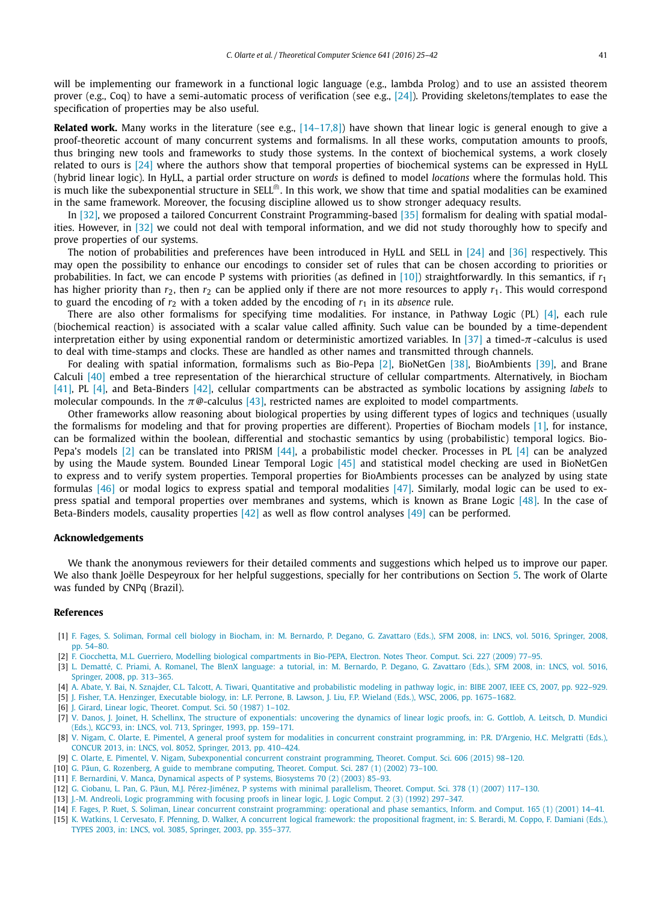<span id="page-16-0"></span>will be implementing our framework in a functional logic language (e.g., lambda Prolog) and to use an assisted theorem prover (e.g., Coq) to have a semi-automatic process of verification (see e.g., [\[24\]\)](#page-17-0). Providing skeletons/templates to ease the specification of properties may be also useful.

**Related work.** Many works in the literature (see e.g., [14–17,8]) have shown that linear logic is general enough to give a proof-theoretic account of many concurrent systems and formalisms. In all these works, computation amounts to proofs, thus bringing new tools and frameworks to study those systems. In the context of biochemical systems, a work closely related to ours is  $[24]$  where the authors show that temporal properties of biochemical systems can be expressed in HyLL (hybrid linear logic). In HyLL, a partial order structure on *words* is defined to model *locations* where the formulas hold. This is much like the subexponential structure in SELL<sup>M</sup>. In this work, we show that time and spatial modalities can be examined in the same framework. Moreover, the focusing discipline allowed us to show stronger adequacy results.

In [\[32\],](#page-17-0) we proposed a tailored Concurrent Constraint Programming-based [\[35\]](#page-17-0) formalism for dealing with spatial modalities. However, in [\[32\]](#page-17-0) we could not deal with temporal information, and we did not study thoroughly how to specify and prove properties of our systems.

The notion of probabilities and preferences have been introduced in HyLL and SELL in [\[24\]](#page-17-0) and [\[36\]](#page-17-0) respectively. This may open the possibility to enhance our encodings to consider set of rules that can be chosen according to priorities or probabilities. In fact, we can encode P systems with priorities (as defined in [10]) straightforwardly. In this semantics, if *r*<sup>1</sup> has higher priority than  $r_2$ , then  $r_2$  can be applied only if there are not more resources to apply  $r_1$ . This would correspond to guard the encoding of  $r_2$  with a token added by the encoding of  $r_1$  in its *absence* rule.

There are also other formalisms for specifying time modalities. For instance, in Pathway Logic (PL) [4], each rule (biochemical reaction) is associated with a scalar value called affinity. Such value can be bounded by a time-dependent interpretation either by using exponential random or deterministic amortized variables. In [\[37\]](#page-17-0) a timed-*π*-calculus is used to deal with time-stamps and clocks. These are handled as other names and transmitted through channels.

For dealing with spatial information, formalisms such as Bio-Pepa [2], BioNetGen [\[38\],](#page-17-0) BioAmbients [\[39\],](#page-17-0) and Brane Calculi [\[40\]](#page-17-0) embed a tree representation of the hierarchical structure of cellular compartments. Alternatively, in Biocham [\[41\],](#page-17-0) PL [4], and Beta-Binders [\[42\],](#page-17-0) cellular compartments can be abstracted as symbolic locations by assigning *labels* to molecular compounds. In the  $\pi\omega$ -calculus [\[43\],](#page-17-0) restricted names are exploited to model compartments.

Other frameworks allow reasoning about biological properties by using different types of logics and techniques (usually the formalisms for modeling and that for proving properties are different). Properties of Biocham models [1], for instance, can be formalized within the boolean, differential and stochastic semantics by using (probabilistic) temporal logics. Bio-Pepa's models [2] can be translated into PRISM [\[44\],](#page-17-0) a probabilistic model checker. Processes in PL [4] can be analyzed by using the Maude system. Bounded Linear Temporal Logic [\[45\]](#page-17-0) and statistical model checking are used in BioNetGen to express and to verify system properties. Temporal properties for BioAmbients processes can be analyzed by using state formulas  $[46]$  or modal logics to express spatial and temporal modalities  $[47]$ . Similarly, modal logic can be used to express spatial and temporal properties over membranes and systems, which is known as Brane Logic [\[48\].](#page-17-0) In the case of Beta-Binders models, causality properties [\[42\]](#page-17-0) as well as flow control analyses [\[49\]](#page-17-0) can be performed.

# **Acknowledgements**

We thank the anonymous reviewers for their detailed comments and suggestions which helped us to improve our paper. We also thank Joëlle Despeyroux for her helpful suggestions, specially for her contributions on Section [5.](#page-13-0) The work of Olarte was funded by CNPq (Brazil).

# **References**

- [1] F. Fages, S. Soliman, Formal cell biology in Biocham, in: M. Bernardo, P. Degano, G. Zavattaro (Eds.), SFM 2008, in: LNCS, [vol. 5016,](http://refhub.elsevier.com/S0304-3975(16)30018-4/bib4661676573533038s1) Springer, 2008, [pp. 54–80.](http://refhub.elsevier.com/S0304-3975(16)30018-4/bib4661676573533038s1)
- [2] F. Ciocchetta, M.L. Guerriero, Modelling biological [compartments](http://refhub.elsevier.com/S0304-3975(16)30018-4/bib43696F636368657474613039s1) in Bio-PEPA, Electron. Notes Theor. Comput. Sci. 227 (2009) 77–95.
- [3] L. Dematté, C. Priami, A. Romanel, The BlenX language: a tutorial, in: M. Bernardo, P. Degano, G. Zavattaro (Eds.), SFM 2008, in: LNCS, [vol. 5016,](http://refhub.elsevier.com/S0304-3975(16)30018-4/bib507269616D693038s1) Springer, 2008, [pp. 313–365.](http://refhub.elsevier.com/S0304-3975(16)30018-4/bib507269616D693038s1)
- [4] A. Abate, Y. Bai, N. Sznajder, C.L. Talcott, A. Tiwari, Quantitative and probabilistic modeling in pathway logic, in: BIBE 2007, IEEE CS, 2007, [pp. 922–929.](http://refhub.elsevier.com/S0304-3975(16)30018-4/bib4162617465425354543037s1)

[5] J. Fisher, T.A. Henzinger, Executable biology, in: L.F. Perrone, B. Lawson, J. Liu, F.P. Wieland (Eds.), WSC, 2006, [pp. 1675–1682.](http://refhub.elsevier.com/S0304-3975(16)30018-4/bib44424C503A636F6E662F7773632F466973686572483036s1)

- [6] J. Girard, Linear logic, Theoret. [Comput.](http://refhub.elsevier.com/S0304-3975(16)30018-4/bib6769726172643837746373s1) Sci. 50 (1987) 1–102.
- [7] V. Danos, J. Joinet, H. Schellinx, The structure of [exponentials:](http://refhub.elsevier.com/S0304-3975(16)30018-4/bib64616E6F7339336B6763s1) uncovering the dynamics of linear logic proofs, in: G. Gottlob, A. Leitsch, D. Mundici (Eds.), KGC'93, in: LNCS, vol. 713, Springer, 1993, [pp. 159–171.](http://refhub.elsevier.com/S0304-3975(16)30018-4/bib64616E6F7339336B6763s1)
- [8] V. Nigam, C. Olarte, E. Pimentel, A general proof system for modalities in concurrent constraint [programming,](http://refhub.elsevier.com/S0304-3975(16)30018-4/bib44424C503A636F6E662F636F6E6375722F4E6967616D4F503133s1) in: P.R. D'Argenio, H.C. Melgratti (Eds.), CONCUR 2013, in: LNCS, vol. 8052, Springer, 2013, [pp. 410–424.](http://refhub.elsevier.com/S0304-3975(16)30018-4/bib44424C503A636F6E662F636F6E6375722F4E6967616D4F503133s1)
- [9] C. Olarte, E. Pimentel, V. Nigam, [Subexponential](http://refhub.elsevier.com/S0304-3975(16)30018-4/bib4F6C6172746532303135s1) concurrent constraint programming, Theoret. Comput. Sci. 606 (2015) 98–120.
- [10] G. Păun, G. Rozenberg, A guide to membrane [computing,](http://refhub.elsevier.com/S0304-3975(16)30018-4/bib44424C503A6A6F75726E616C732F7463732F5061756E523032s1) Theoret. Comput. Sci. 287 (1) (2002) 73-100.
- [11] F. Bernardini, V. Manca, Dynamical aspects of P systems, [Biosystems](http://refhub.elsevier.com/S0304-3975(16)30018-4/bib4265726E617264696E693033s1) 70 (2) (2003) 85–93.
- [12] G. Ciobanu, L. Pan, G. Păun, M.J. [Pérez-Jiménez,](http://refhub.elsevier.com/S0304-3975(16)30018-4/bib44424C503A6A6F75726E616C732F7463732F43696F62616E755050503037s1) P systems with minimal parallelism, Theoret. Comput. Sci. 378 (1) (2007) 117-130.
- [13] J.-M. Andreoli, Logic [programming](http://refhub.elsevier.com/S0304-3975(16)30018-4/bib616E6472656F6C6939326A6C63s1) with focusing proofs in linear logic, J. Logic Comput. 2 (3) (1992) 297–347.
- [14] F. Fages, P. Ruet, S. Soliman, Linear concurrent constraint [programming:](http://refhub.elsevier.com/S0304-3975(16)30018-4/bib44424C503A6A6F75726E616C732F69616E64632F466167657352533031s1) operational and phase semantics, Inform. and Comput. 165 (1) (2001) 14–41.
- [15] K. Watkins, I. Cervesato, F. Pfenning, D. Walker, A concurrent logical framework: the [propositional](http://refhub.elsevier.com/S0304-3975(16)30018-4/bib44424C503A636F6E662F74797065732F5761746B696E734350573033s1) fragment, in: S. Berardi, M. Coppo, F. Damiani (Eds.), TYPES 2003, in: LNCS, vol. 3085, Springer, 2003, [pp. 355–377.](http://refhub.elsevier.com/S0304-3975(16)30018-4/bib44424C503A636F6E662F74797065732F5761746B696E734350573033s1)